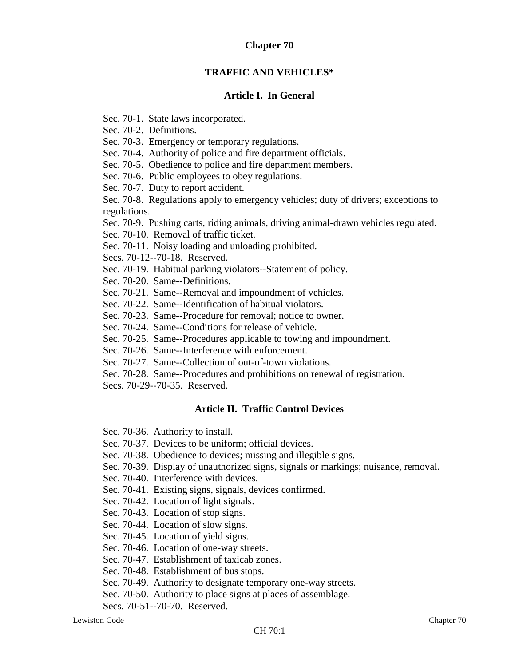## **Chapter 70**

### **TRAFFIC AND VEHICLES\***

#### **Article I. In General**

Sec. 70-1. State laws incorporated.

Sec. 70-2. Definitions.

Sec. 70-3. Emergency or temporary regulations.

Sec. 70-4. Authority of police and fire department officials.

Sec. 70-5. Obedience to police and fire department members.

Sec. 70-6. Public employees to obey regulations.

Sec. 70-7. Duty to report accident.

Sec. 70-8. Regulations apply to emergency vehicles; duty of drivers; exceptions to regulations.

Sec. 70-9. Pushing carts, riding animals, driving animal-drawn vehicles regulated.

Sec. 70-10. Removal of traffic ticket.

Sec. 70-11. Noisy loading and unloading prohibited.

Secs. 70-12--70-18. Reserved.

Sec. 70-19. Habitual parking violators--Statement of policy.

Sec. 70-20. Same--Definitions.

Sec. 70-21. Same--Removal and impoundment of vehicles.

Sec. 70-22. Same--Identification of habitual violators.

Sec. 70-23. Same--Procedure for removal; notice to owner.

Sec. 70-24. Same--Conditions for release of vehicle.

Sec. 70-25. Same--Procedures applicable to towing and impoundment.

Sec. 70-26. Same--Interference with enforcement.

Sec. 70-27. Same--Collection of out-of-town violations.

Sec. 70-28. Same--Procedures and prohibitions on renewal of registration.

Secs. 70-29--70-35. Reserved.

## **Article II. Traffic Control Devices**

Sec. 70-36. Authority to install.

Sec. 70-37. Devices to be uniform; official devices.

Sec. 70-38. Obedience to devices; missing and illegible signs.

Sec. 70-39. Display of unauthorized signs, signals or markings; nuisance, removal.

Sec. 70-40. Interference with devices.

Sec. 70-41. Existing signs, signals, devices confirmed.

Sec. 70-42. Location of light signals.

Sec. 70-43. Location of stop signs.

Sec. 70-44. Location of slow signs.

Sec. 70-45. Location of yield signs.

Sec. 70-46. Location of one-way streets.

Sec. 70-47. Establishment of taxicab zones.

Sec. 70-48. Establishment of bus stops.

Sec. 70-49. Authority to designate temporary one-way streets.

Sec. 70-50. Authority to place signs at places of assemblage.

Secs. 70-51--70-70. Reserved.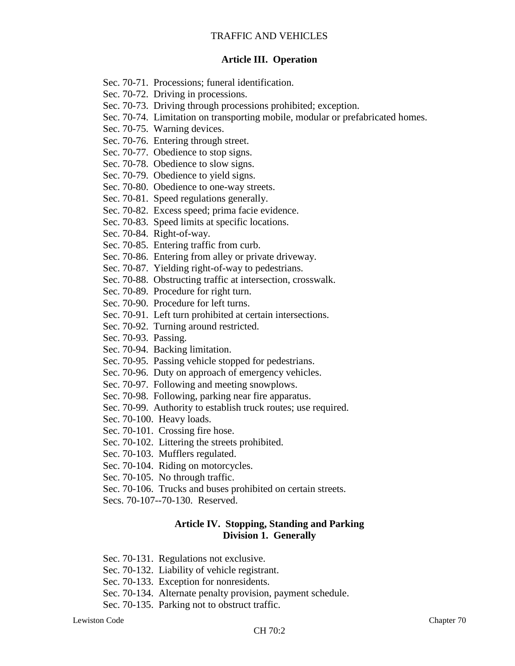### **Article III. Operation**

- Sec. 70-71. Processions; funeral identification.
- Sec. 70-72. Driving in processions.
- Sec. 70-73. Driving through processions prohibited; exception.
- Sec. 70-74. Limitation on transporting mobile, modular or prefabricated homes.
- Sec. 70-75. Warning devices.
- Sec. 70-76. Entering through street.
- Sec. 70-77. Obedience to stop signs.
- Sec. 70-78. Obedience to slow signs.
- Sec. 70-79. Obedience to yield signs.
- Sec. 70-80. Obedience to one-way streets.
- Sec. 70-81. Speed regulations generally.
- Sec. 70-82. Excess speed; prima facie evidence.
- Sec. 70-83. Speed limits at specific locations.
- Sec. 70-84. Right-of-way.
- Sec. 70-85. Entering traffic from curb.
- Sec. 70-86. Entering from alley or private driveway.
- Sec. 70-87. Yielding right-of-way to pedestrians.
- Sec. 70-88. Obstructing traffic at intersection, crosswalk.
- Sec. 70-89. Procedure for right turn.
- Sec. 70-90. Procedure for left turns.
- Sec. 70-91. Left turn prohibited at certain intersections.
- Sec. 70-92. Turning around restricted.
- Sec. 70-93. Passing.
- Sec. 70-94. Backing limitation.
- Sec. 70-95. Passing vehicle stopped for pedestrians.
- Sec. 70-96. Duty on approach of emergency vehicles.
- Sec. 70-97. Following and meeting snowplows.
- Sec. 70-98. Following, parking near fire apparatus.
- Sec. 70-99. Authority to establish truck routes; use required.
- Sec. 70-100. Heavy loads.
- Sec. 70-101. Crossing fire hose.
- Sec. 70-102. Littering the streets prohibited.
- Sec. 70-103. Mufflers regulated.
- Sec. 70-104. Riding on motorcycles.
- Sec. 70-105. No through traffic.
- Sec. 70-106. Trucks and buses prohibited on certain streets.
- Secs. 70-107--70-130. Reserved.

### **Article IV. Stopping, Standing and Parking Division 1. Generally**

- Sec. 70-131. Regulations not exclusive.
- Sec. 70-132. Liability of vehicle registrant.
- Sec. 70-133. Exception for nonresidents.
- Sec. 70-134. Alternate penalty provision, payment schedule.
- Sec. 70-135. Parking not to obstruct traffic.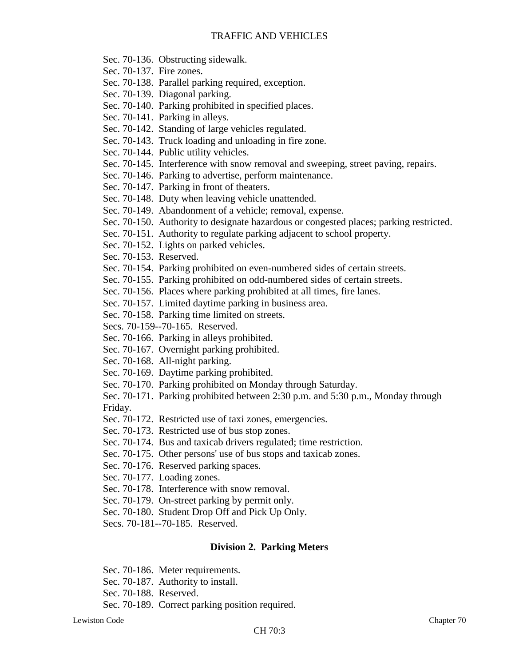- Sec. 70-136. Obstructing sidewalk.
- Sec. 70-137. Fire zones.
- Sec. 70-138. Parallel parking required, exception.
- Sec. 70-139. Diagonal parking.
- Sec. 70-140. Parking prohibited in specified places.
- Sec. 70-141. Parking in alleys.
- Sec. 70-142. Standing of large vehicles regulated.
- Sec. 70-143. Truck loading and unloading in fire zone.
- Sec. 70-144. Public utility vehicles.
- Sec. 70-145. Interference with snow removal and sweeping, street paving, repairs.
- Sec. 70-146. Parking to advertise, perform maintenance.
- Sec. 70-147. Parking in front of theaters.
- Sec. 70-148. Duty when leaving vehicle unattended.
- Sec. 70-149. Abandonment of a vehicle; removal, expense.
- Sec. 70-150. Authority to designate hazardous or congested places; parking restricted.
- Sec. 70-151. Authority to regulate parking adjacent to school property.
- Sec. 70-152. Lights on parked vehicles.
- Sec. 70-153. Reserved.
- Sec. 70-154. Parking prohibited on even-numbered sides of certain streets.
- Sec. 70-155. Parking prohibited on odd-numbered sides of certain streets.
- Sec. 70-156. Places where parking prohibited at all times, fire lanes.
- Sec. 70-157. Limited daytime parking in business area.
- Sec. 70-158. Parking time limited on streets.
- Secs. 70-159--70-165. Reserved.
- Sec. 70-166. Parking in alleys prohibited.
- Sec. 70-167. Overnight parking prohibited.
- Sec. 70-168. All-night parking.
- Sec. 70-169. Daytime parking prohibited.
- Sec. 70-170. Parking prohibited on Monday through Saturday.
- Sec. 70-171. Parking prohibited between 2:30 p.m. and 5:30 p.m., Monday through Friday.
- Sec. 70-172. Restricted use of taxi zones, emergencies.
- Sec. 70-173. Restricted use of bus stop zones.
- Sec. 70-174. Bus and taxicab drivers regulated; time restriction.
- Sec. 70-175. Other persons' use of bus stops and taxicab zones.
- Sec. 70-176. Reserved parking spaces.
- Sec. 70-177. Loading zones.
- Sec. 70-178. Interference with snow removal.
- Sec. 70-179. On-street parking by permit only.
- Sec. 70-180. Student Drop Off and Pick Up Only.
- Secs. 70-181--70-185. Reserved.

## **Division 2. Parking Meters**

- Sec. 70-186. Meter requirements.
- Sec. 70-187. Authority to install.
- Sec. 70-188. Reserved.
- Sec. 70-189. Correct parking position required.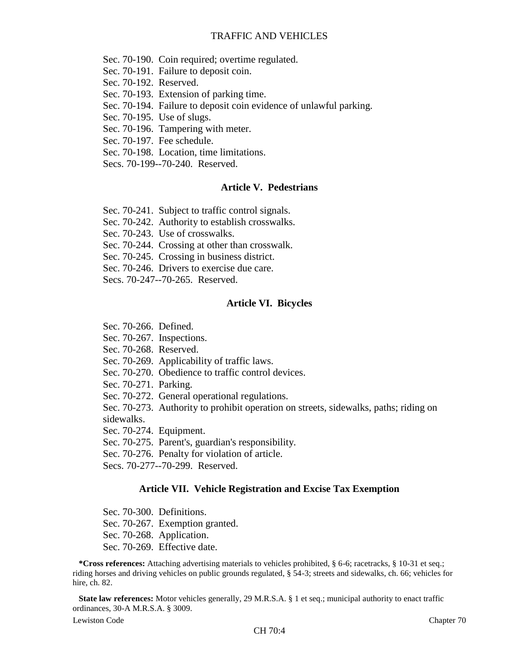Sec. 70-190. Coin required; overtime regulated.

Sec. 70-191. Failure to deposit coin.

- Sec. 70-192. Reserved.
- Sec. 70-193. Extension of parking time.
- Sec. 70-194. Failure to deposit coin evidence of unlawful parking.
- Sec. 70-195. Use of slugs.
- Sec. 70-196. Tampering with meter.
- Sec. 70-197. Fee schedule.
- Sec. 70-198. Location, time limitations.
- Secs. 70-199--70-240. Reserved.

#### **Article V. Pedestrians**

- Sec. 70-241. Subject to traffic control signals.
- Sec. 70-242. Authority to establish crosswalks.
- Sec. 70-243. Use of crosswalks.
- Sec. 70-244. Crossing at other than crosswalk.
- Sec. 70-245. Crossing in business district.
- Sec. 70-246. Drivers to exercise due care.
- Secs. 70-247--70-265. Reserved.

#### **Article VI. Bicycles**

- Sec. 70-266. Defined.
- Sec. 70-267. Inspections.
- Sec. 70-268. Reserved.
- Sec. 70-269. Applicability of traffic laws.
- Sec. 70-270. Obedience to traffic control devices.
- Sec. 70-271. Parking.
- Sec. 70-272. General operational regulations.
- Sec. 70-273. Authority to prohibit operation on streets, sidewalks, paths; riding on sidewalks.
- Sec. 70-274. Equipment.
- Sec. 70-275. Parent's, guardian's responsibility.
- Sec. 70-276. Penalty for violation of article.
- Secs. 70-277--70-299. Reserved.

#### **Article VII. Vehicle Registration and Excise Tax Exemption**

- Sec. 70-300. Definitions.
- Sec. 70-267. Exemption granted.
- Sec. 70-268. Application.
- Sec. 70-269. Effective date.

**\*Cross references:** Attaching advertising materials to vehicles prohibited, § 6-6; racetracks, § 10-31 et seq.; riding horses and driving vehicles on public grounds regulated, § 54-3; streets and sidewalks, ch. 66; vehicles for hire, ch. 82.

**State law references:** Motor vehicles generally, 29 M.R.S.A. § 1 et seq.; municipal authority to enact traffic ordinances, 30-A M.R.S.A. § 3009.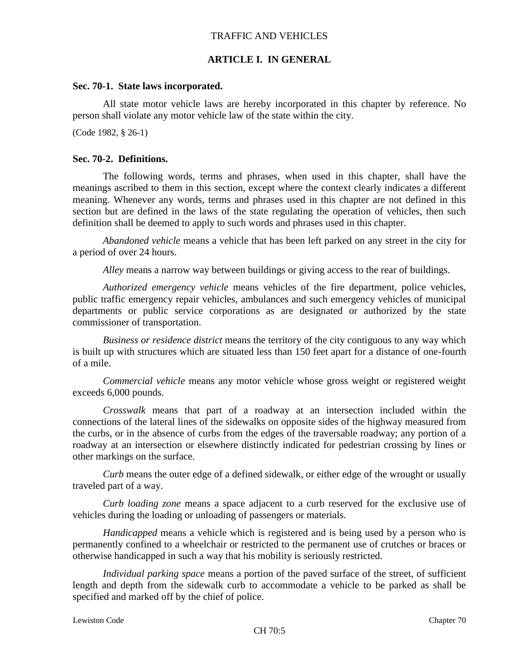## **ARTICLE I. IN GENERAL**

#### **Sec. 70-1. State laws incorporated.**

All state motor vehicle laws are hereby incorporated in this chapter by reference. No person shall violate any motor vehicle law of the state within the city.

(Code 1982, § 26-1)

#### **Sec. 70-2. Definitions.**

The following words, terms and phrases, when used in this chapter, shall have the meanings ascribed to them in this section, except where the context clearly indicates a different meaning. Whenever any words, terms and phrases used in this chapter are not defined in this section but are defined in the laws of the state regulating the operation of vehicles, then such definition shall be deemed to apply to such words and phrases used in this chapter.

*Abandoned vehicle* means a vehicle that has been left parked on any street in the city for a period of over 24 hours.

*Alley* means a narrow way between buildings or giving access to the rear of buildings.

*Authorized emergency vehicle* means vehicles of the fire department, police vehicles, public traffic emergency repair vehicles, ambulances and such emergency vehicles of municipal departments or public service corporations as are designated or authorized by the state commissioner of transportation.

*Business or residence district* means the territory of the city contiguous to any way which is built up with structures which are situated less than 150 feet apart for a distance of one-fourth of a mile.

*Commercial vehicle* means any motor vehicle whose gross weight or registered weight exceeds 6,000 pounds.

*Crosswalk* means that part of a roadway at an intersection included within the connections of the lateral lines of the sidewalks on opposite sides of the highway measured from the curbs, or in the absence of curbs from the edges of the traversable roadway; any portion of a roadway at an intersection or elsewhere distinctly indicated for pedestrian crossing by lines or other markings on the surface.

*Curb* means the outer edge of a defined sidewalk, or either edge of the wrought or usually traveled part of a way.

*Curb loading zone* means a space adjacent to a curb reserved for the exclusive use of vehicles during the loading or unloading of passengers or materials.

*Handicapped* means a vehicle which is registered and is being used by a person who is permanently confined to a wheelchair or restricted to the permanent use of crutches or braces or otherwise handicapped in such a way that his mobility is seriously restricted.

*Individual parking space* means a portion of the paved surface of the street, of sufficient length and depth from the sidewalk curb to accommodate a vehicle to be parked as shall be specified and marked off by the chief of police.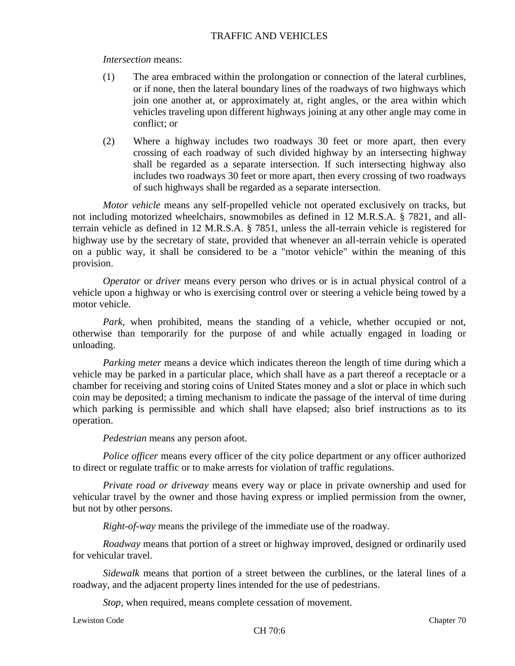# *Intersection* means:

- (1) The area embraced within the prolongation or connection of the lateral curblines, or if none, then the lateral boundary lines of the roadways of two highways which join one another at, or approximately at, right angles, or the area within which vehicles traveling upon different highways joining at any other angle may come in conflict; or
- (2) Where a highway includes two roadways 30 feet or more apart, then every crossing of each roadway of such divided highway by an intersecting highway shall be regarded as a separate intersection. If such intersecting highway also includes two roadways 30 feet or more apart, then every crossing of two roadways of such highways shall be regarded as a separate intersection.

*Motor vehicle* means any self-propelled vehicle not operated exclusively on tracks, but not including motorized wheelchairs, snowmobiles as defined in 12 M.R.S.A. § 7821, and allterrain vehicle as defined in 12 M.R.S.A. § 7851, unless the all-terrain vehicle is registered for highway use by the secretary of state, provided that whenever an all-terrain vehicle is operated on a public way, it shall be considered to be a "motor vehicle" within the meaning of this provision.

*Operator* or *driver* means every person who drives or is in actual physical control of a vehicle upon a highway or who is exercising control over or steering a vehicle being towed by a motor vehicle.

*Park,* when prohibited, means the standing of a vehicle, whether occupied or not, otherwise than temporarily for the purpose of and while actually engaged in loading or unloading.

*Parking meter* means a device which indicates thereon the length of time during which a vehicle may be parked in a particular place, which shall have as a part thereof a receptacle or a chamber for receiving and storing coins of United States money and a slot or place in which such coin may be deposited; a timing mechanism to indicate the passage of the interval of time during which parking is permissible and which shall have elapsed; also brief instructions as to its operation.

*Pedestrian* means any person afoot.

*Police officer* means every officer of the city police department or any officer authorized to direct or regulate traffic or to make arrests for violation of traffic regulations.

*Private road or driveway* means every way or place in private ownership and used for vehicular travel by the owner and those having express or implied permission from the owner, but not by other persons.

*Right-of-way* means the privilege of the immediate use of the roadway.

*Roadway* means that portion of a street or highway improved, designed or ordinarily used for vehicular travel.

*Sidewalk* means that portion of a street between the curblines, or the lateral lines of a roadway, and the adjacent property lines intended for the use of pedestrians.

*Stop,* when required, means complete cessation of movement.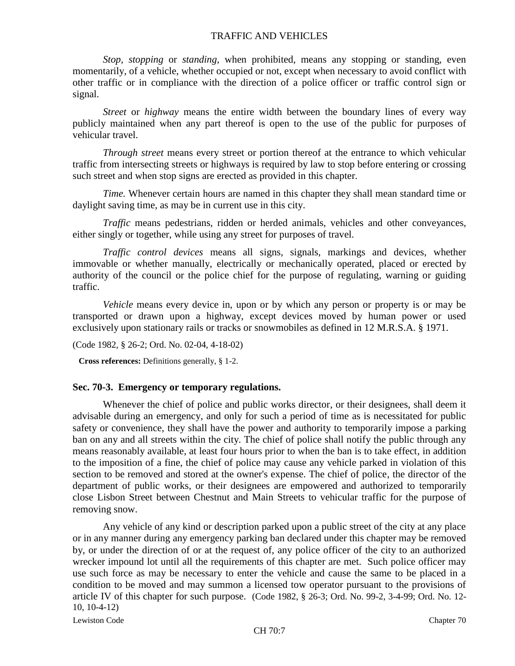*Stop, stopping* or *standing,* when prohibited, means any stopping or standing, even momentarily, of a vehicle, whether occupied or not, except when necessary to avoid conflict with other traffic or in compliance with the direction of a police officer or traffic control sign or signal.

*Street* or *highway* means the entire width between the boundary lines of every way publicly maintained when any part thereof is open to the use of the public for purposes of vehicular travel.

*Through street* means every street or portion thereof at the entrance to which vehicular traffic from intersecting streets or highways is required by law to stop before entering or crossing such street and when stop signs are erected as provided in this chapter.

*Time.* Whenever certain hours are named in this chapter they shall mean standard time or daylight saving time, as may be in current use in this city.

*Traffic* means pedestrians, ridden or herded animals, vehicles and other conveyances, either singly or together, while using any street for purposes of travel.

*Traffic control devices* means all signs, signals, markings and devices, whether immovable or whether manually, electrically or mechanically operated, placed or erected by authority of the council or the police chief for the purpose of regulating, warning or guiding traffic.

*Vehicle* means every device in, upon or by which any person or property is or may be transported or drawn upon a highway, except devices moved by human power or used exclusively upon stationary rails or tracks or snowmobiles as defined in 12 M.R.S.A. § 1971.

(Code 1982, § 26-2; Ord. No. 02-04, 4-18-02)

**Cross references:** Definitions generally, § 1-2.

#### **Sec. 70-3. Emergency or temporary regulations.**

Whenever the chief of police and public works director, or their designees, shall deem it advisable during an emergency, and only for such a period of time as is necessitated for public safety or convenience, they shall have the power and authority to temporarily impose a parking ban on any and all streets within the city. The chief of police shall notify the public through any means reasonably available, at least four hours prior to when the ban is to take effect, in addition to the imposition of a fine, the chief of police may cause any vehicle parked in violation of this section to be removed and stored at the owner's expense. The chief of police, the director of the department of public works, or their designees are empowered and authorized to temporarily close Lisbon Street between Chestnut and Main Streets to vehicular traffic for the purpose of removing snow.

Any vehicle of any kind or description parked upon a public street of the city at any place or in any manner during any emergency parking ban declared under this chapter may be removed by, or under the direction of or at the request of, any police officer of the city to an authorized wrecker impound lot until all the requirements of this chapter are met. Such police officer may use such force as may be necessary to enter the vehicle and cause the same to be placed in a condition to be moved and may summon a licensed tow operator pursuant to the provisions of article IV of this chapter for such purpose. (Code 1982, § 26-3; Ord. No. 99-2, 3-4-99; Ord. No. 12- 10, 10-4-12)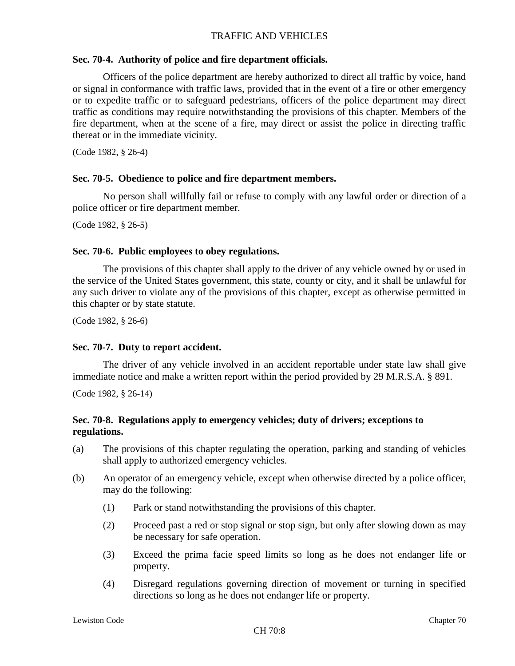# **Sec. 70-4. Authority of police and fire department officials.**

Officers of the police department are hereby authorized to direct all traffic by voice, hand or signal in conformance with traffic laws, provided that in the event of a fire or other emergency or to expedite traffic or to safeguard pedestrians, officers of the police department may direct traffic as conditions may require notwithstanding the provisions of this chapter. Members of the fire department, when at the scene of a fire, may direct or assist the police in directing traffic thereat or in the immediate vicinity.

(Code 1982, § 26-4)

## **Sec. 70-5. Obedience to police and fire department members.**

No person shall willfully fail or refuse to comply with any lawful order or direction of a police officer or fire department member.

(Code 1982, § 26-5)

## **Sec. 70-6. Public employees to obey regulations.**

The provisions of this chapter shall apply to the driver of any vehicle owned by or used in the service of the United States government, this state, county or city, and it shall be unlawful for any such driver to violate any of the provisions of this chapter, except as otherwise permitted in this chapter or by state statute.

(Code 1982, § 26-6)

## **Sec. 70-7. Duty to report accident.**

The driver of any vehicle involved in an accident reportable under state law shall give immediate notice and make a written report within the period provided by 29 M.R.S.A. § 891.

(Code 1982, § 26-14)

# **Sec. 70-8. Regulations apply to emergency vehicles; duty of drivers; exceptions to regulations.**

- (a) The provisions of this chapter regulating the operation, parking and standing of vehicles shall apply to authorized emergency vehicles.
- (b) An operator of an emergency vehicle, except when otherwise directed by a police officer, may do the following:
	- (1) Park or stand notwithstanding the provisions of this chapter.
	- (2) Proceed past a red or stop signal or stop sign, but only after slowing down as may be necessary for safe operation.
	- (3) Exceed the prima facie speed limits so long as he does not endanger life or property.
	- (4) Disregard regulations governing direction of movement or turning in specified directions so long as he does not endanger life or property.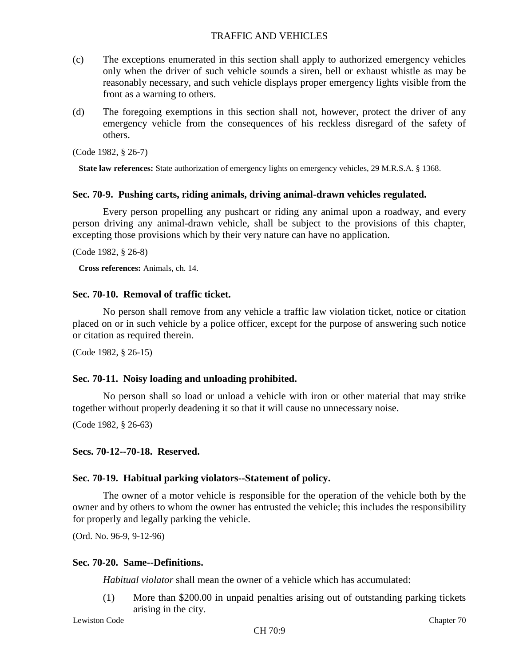- (c) The exceptions enumerated in this section shall apply to authorized emergency vehicles only when the driver of such vehicle sounds a siren, bell or exhaust whistle as may be reasonably necessary, and such vehicle displays proper emergency lights visible from the front as a warning to others.
- (d) The foregoing exemptions in this section shall not, however, protect the driver of any emergency vehicle from the consequences of his reckless disregard of the safety of others.

(Code 1982, § 26-7)

**State law references:** State authorization of emergency lights on emergency vehicles, 29 M.R.S.A. § 1368.

#### **Sec. 70-9. Pushing carts, riding animals, driving animal-drawn vehicles regulated.**

Every person propelling any pushcart or riding any animal upon a roadway, and every person driving any animal-drawn vehicle, shall be subject to the provisions of this chapter, excepting those provisions which by their very nature can have no application.

(Code 1982, § 26-8)

**Cross references:** Animals, ch. 14.

### **Sec. 70-10. Removal of traffic ticket.**

No person shall remove from any vehicle a traffic law violation ticket, notice or citation placed on or in such vehicle by a police officer, except for the purpose of answering such notice or citation as required therein.

(Code 1982, § 26-15)

## **Sec. 70-11. Noisy loading and unloading prohibited.**

No person shall so load or unload a vehicle with iron or other material that may strike together without properly deadening it so that it will cause no unnecessary noise.

(Code 1982, § 26-63)

#### **Secs. 70-12--70-18. Reserved.**

#### **Sec. 70-19. Habitual parking violators--Statement of policy.**

The owner of a motor vehicle is responsible for the operation of the vehicle both by the owner and by others to whom the owner has entrusted the vehicle; this includes the responsibility for properly and legally parking the vehicle.

(Ord. No. 96-9, 9-12-96)

#### **Sec. 70-20. Same--Definitions.**

*Habitual violator* shall mean the owner of a vehicle which has accumulated:

(1) More than \$200.00 in unpaid penalties arising out of outstanding parking tickets arising in the city.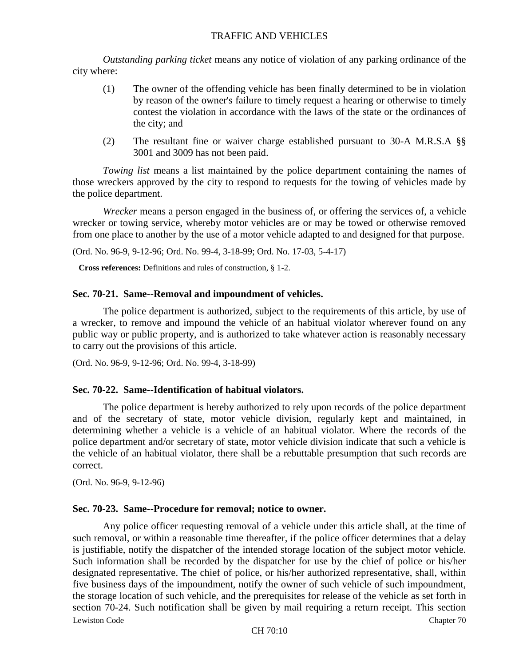*Outstanding parking ticket* means any notice of violation of any parking ordinance of the city where:

- (1) The owner of the offending vehicle has been finally determined to be in violation by reason of the owner's failure to timely request a hearing or otherwise to timely contest the violation in accordance with the laws of the state or the ordinances of the city; and
- (2) The resultant fine or waiver charge established pursuant to 30-A M.R.S.A §§ 3001 and 3009 has not been paid.

*Towing list* means a list maintained by the police department containing the names of those wreckers approved by the city to respond to requests for the towing of vehicles made by the police department.

*Wrecker* means a person engaged in the business of, or offering the services of, a vehicle wrecker or towing service, whereby motor vehicles are or may be towed or otherwise removed from one place to another by the use of a motor vehicle adapted to and designed for that purpose.

(Ord. No. 96-9, 9-12-96; Ord. No. 99-4, 3-18-99; Ord. No. 17-03, 5-4-17)

**Cross references:** Definitions and rules of construction, § 1-2.

#### **Sec. 70-21. Same--Removal and impoundment of vehicles.**

The police department is authorized, subject to the requirements of this article, by use of a wrecker, to remove and impound the vehicle of an habitual violator wherever found on any public way or public property, and is authorized to take whatever action is reasonably necessary to carry out the provisions of this article.

(Ord. No. 96-9, 9-12-96; Ord. No. 99-4, 3-18-99)

#### **Sec. 70-22. Same--Identification of habitual violators.**

The police department is hereby authorized to rely upon records of the police department and of the secretary of state, motor vehicle division, regularly kept and maintained, in determining whether a vehicle is a vehicle of an habitual violator. Where the records of the police department and/or secretary of state, motor vehicle division indicate that such a vehicle is the vehicle of an habitual violator, there shall be a rebuttable presumption that such records are correct.

(Ord. No. 96-9, 9-12-96)

#### **Sec. 70-23. Same--Procedure for removal; notice to owner.**

Lewiston Code Chapter 70 Any police officer requesting removal of a vehicle under this article shall, at the time of such removal, or within a reasonable time thereafter, if the police officer determines that a delay is justifiable, notify the dispatcher of the intended storage location of the subject motor vehicle. Such information shall be recorded by the dispatcher for use by the chief of police or his/her designated representative. The chief of police, or his/her authorized representative, shall, within five business days of the impoundment, notify the owner of such vehicle of such impoundment, the storage location of such vehicle, and the prerequisites for release of the vehicle as set forth in section 70-24. Such notification shall be given by mail requiring a return receipt. This section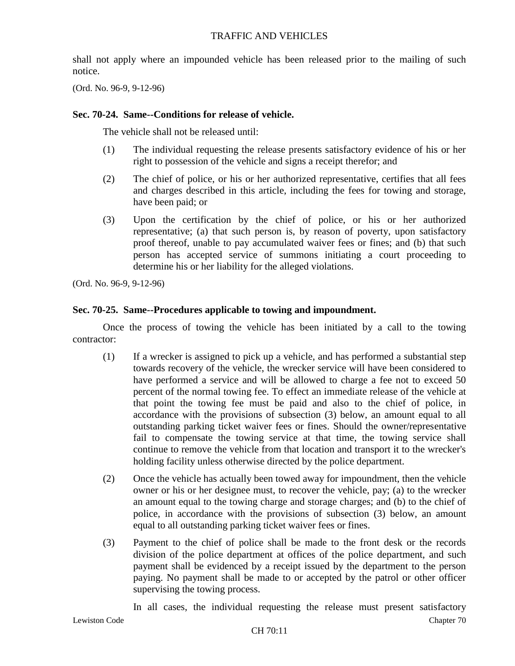shall not apply where an impounded vehicle has been released prior to the mailing of such notice.

(Ord. No. 96-9, 9-12-96)

### **Sec. 70-24. Same--Conditions for release of vehicle.**

The vehicle shall not be released until:

- (1) The individual requesting the release presents satisfactory evidence of his or her right to possession of the vehicle and signs a receipt therefor; and
- (2) The chief of police, or his or her authorized representative, certifies that all fees and charges described in this article, including the fees for towing and storage, have been paid; or
- (3) Upon the certification by the chief of police, or his or her authorized representative; (a) that such person is, by reason of poverty, upon satisfactory proof thereof, unable to pay accumulated waiver fees or fines; and (b) that such person has accepted service of summons initiating a court proceeding to determine his or her liability for the alleged violations.

(Ord. No. 96-9, 9-12-96)

## **Sec. 70-25. Same--Procedures applicable to towing and impoundment.**

Once the process of towing the vehicle has been initiated by a call to the towing contractor:

- (1) If a wrecker is assigned to pick up a vehicle, and has performed a substantial step towards recovery of the vehicle, the wrecker service will have been considered to have performed a service and will be allowed to charge a fee not to exceed 50 percent of the normal towing fee. To effect an immediate release of the vehicle at that point the towing fee must be paid and also to the chief of police, in accordance with the provisions of subsection (3) below, an amount equal to all outstanding parking ticket waiver fees or fines. Should the owner/representative fail to compensate the towing service at that time, the towing service shall continue to remove the vehicle from that location and transport it to the wrecker's holding facility unless otherwise directed by the police department.
- (2) Once the vehicle has actually been towed away for impoundment, then the vehicle owner or his or her designee must, to recover the vehicle, pay; (a) to the wrecker an amount equal to the towing charge and storage charges; and (b) to the chief of police, in accordance with the provisions of subsection (3) below, an amount equal to all outstanding parking ticket waiver fees or fines.
- (3) Payment to the chief of police shall be made to the front desk or the records division of the police department at offices of the police department, and such payment shall be evidenced by a receipt issued by the department to the person paying. No payment shall be made to or accepted by the patrol or other officer supervising the towing process.

In all cases, the individual requesting the release must present satisfactory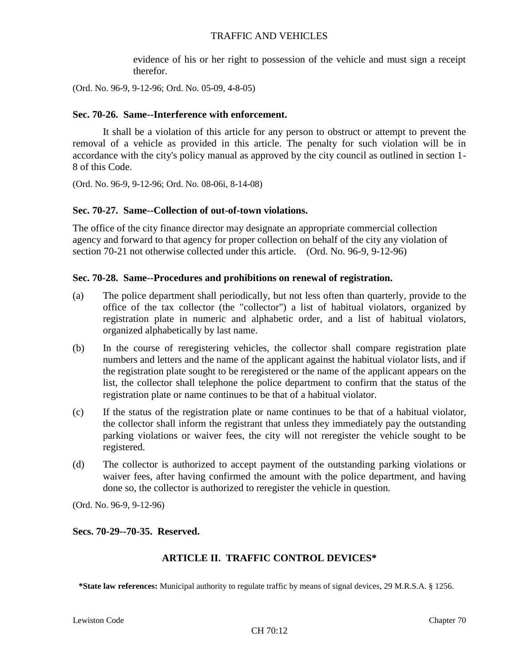evidence of his or her right to possession of the vehicle and must sign a receipt therefor.

(Ord. No. 96-9, 9-12-96; Ord. No. 05-09, 4-8-05)

### **Sec. 70-26. Same--Interference with enforcement.**

It shall be a violation of this article for any person to obstruct or attempt to prevent the removal of a vehicle as provided in this article. The penalty for such violation will be in accordance with the city's policy manual as approved by the city council as outlined in section 1- 8 of this Code.

(Ord. No. 96-9, 9-12-96; Ord. No. 08-06i, 8-14-08)

### **Sec. 70-27. Same--Collection of out-of-town violations.**

The office of the city finance director may designate an appropriate commercial collection agency and forward to that agency for proper collection on behalf of the city any violation of section 70-21 not otherwise collected under this article. (Ord. No. 96-9, 9-12-96)

#### **Sec. 70-28. Same--Procedures and prohibitions on renewal of registration.**

- (a) The police department shall periodically, but not less often than quarterly, provide to the office of the tax collector (the "collector") a list of habitual violators, organized by registration plate in numeric and alphabetic order, and a list of habitual violators, organized alphabetically by last name.
- (b) In the course of reregistering vehicles, the collector shall compare registration plate numbers and letters and the name of the applicant against the habitual violator lists, and if the registration plate sought to be reregistered or the name of the applicant appears on the list, the collector shall telephone the police department to confirm that the status of the registration plate or name continues to be that of a habitual violator.
- (c) If the status of the registration plate or name continues to be that of a habitual violator, the collector shall inform the registrant that unless they immediately pay the outstanding parking violations or waiver fees, the city will not reregister the vehicle sought to be registered.
- (d) The collector is authorized to accept payment of the outstanding parking violations or waiver fees, after having confirmed the amount with the police department, and having done so, the collector is authorized to reregister the vehicle in question.

(Ord. No. 96-9, 9-12-96)

#### **Secs. 70-29--70-35. Reserved.**

## **ARTICLE II. TRAFFIC CONTROL DEVICES\***

**\*State law references:** Municipal authority to regulate traffic by means of signal devices, 29 M.R.S.A. § 1256.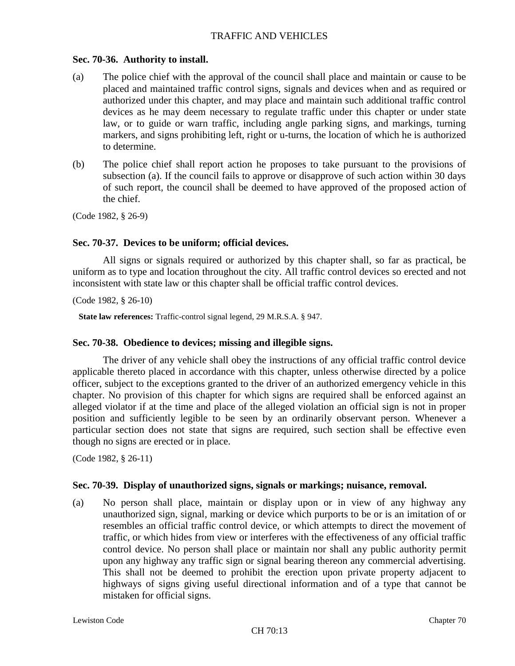### **Sec. 70-36. Authority to install.**

- (a) The police chief with the approval of the council shall place and maintain or cause to be placed and maintained traffic control signs, signals and devices when and as required or authorized under this chapter, and may place and maintain such additional traffic control devices as he may deem necessary to regulate traffic under this chapter or under state law, or to guide or warn traffic, including angle parking signs, and markings, turning markers, and signs prohibiting left, right or u-turns, the location of which he is authorized to determine.
- (b) The police chief shall report action he proposes to take pursuant to the provisions of subsection (a). If the council fails to approve or disapprove of such action within 30 days of such report, the council shall be deemed to have approved of the proposed action of the chief.

(Code 1982, § 26-9)

### **Sec. 70-37. Devices to be uniform; official devices.**

All signs or signals required or authorized by this chapter shall, so far as practical, be uniform as to type and location throughout the city. All traffic control devices so erected and not inconsistent with state law or this chapter shall be official traffic control devices.

(Code 1982, § 26-10)

**State law references:** Traffic-control signal legend, 29 M.R.S.A. § 947.

#### **Sec. 70-38. Obedience to devices; missing and illegible signs.**

The driver of any vehicle shall obey the instructions of any official traffic control device applicable thereto placed in accordance with this chapter, unless otherwise directed by a police officer, subject to the exceptions granted to the driver of an authorized emergency vehicle in this chapter. No provision of this chapter for which signs are required shall be enforced against an alleged violator if at the time and place of the alleged violation an official sign is not in proper position and sufficiently legible to be seen by an ordinarily observant person. Whenever a particular section does not state that signs are required, such section shall be effective even though no signs are erected or in place.

(Code 1982, § 26-11)

#### **Sec. 70-39. Display of unauthorized signs, signals or markings; nuisance, removal.**

(a) No person shall place, maintain or display upon or in view of any highway any unauthorized sign, signal, marking or device which purports to be or is an imitation of or resembles an official traffic control device, or which attempts to direct the movement of traffic, or which hides from view or interferes with the effectiveness of any official traffic control device. No person shall place or maintain nor shall any public authority permit upon any highway any traffic sign or signal bearing thereon any commercial advertising. This shall not be deemed to prohibit the erection upon private property adjacent to highways of signs giving useful directional information and of a type that cannot be mistaken for official signs.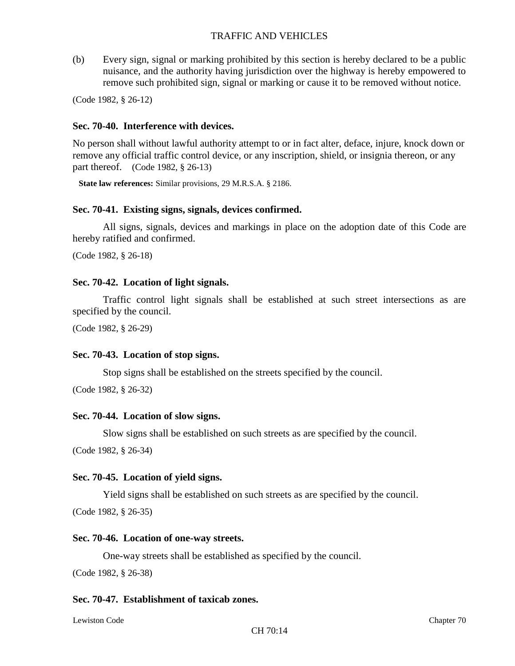(b) Every sign, signal or marking prohibited by this section is hereby declared to be a public nuisance, and the authority having jurisdiction over the highway is hereby empowered to remove such prohibited sign, signal or marking or cause it to be removed without notice.

(Code 1982, § 26-12)

### **Sec. 70-40. Interference with devices.**

No person shall without lawful authority attempt to or in fact alter, deface, injure, knock down or remove any official traffic control device, or any inscription, shield, or insignia thereon, or any part thereof. (Code 1982, § 26-13)

**State law references:** Similar provisions, 29 M.R.S.A. § 2186.

### **Sec. 70-41. Existing signs, signals, devices confirmed.**

All signs, signals, devices and markings in place on the adoption date of this Code are hereby ratified and confirmed.

(Code 1982, § 26-18)

### **Sec. 70-42. Location of light signals.**

Traffic control light signals shall be established at such street intersections as are specified by the council.

(Code 1982, § 26-29)

#### **Sec. 70-43. Location of stop signs.**

Stop signs shall be established on the streets specified by the council.

(Code 1982, § 26-32)

#### **Sec. 70-44. Location of slow signs.**

Slow signs shall be established on such streets as are specified by the council.

(Code 1982, § 26-34)

#### **Sec. 70-45. Location of yield signs.**

Yield signs shall be established on such streets as are specified by the council. (Code 1982, § 26-35)

#### **Sec. 70-46. Location of one-way streets.**

One-way streets shall be established as specified by the council.

(Code 1982, § 26-38)

#### **Sec. 70-47. Establishment of taxicab zones.**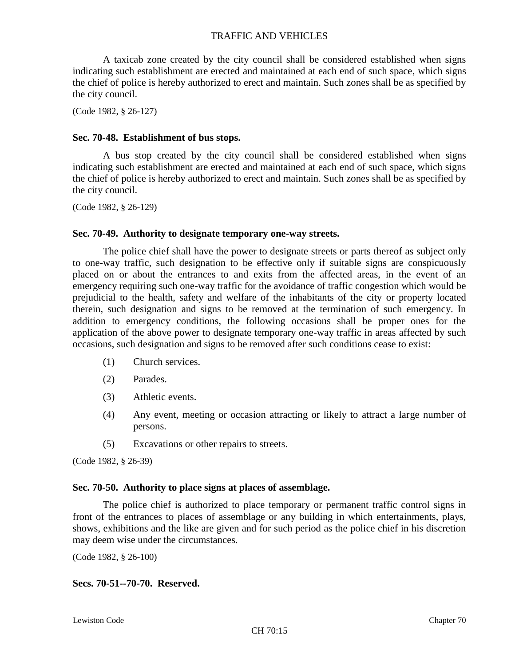A taxicab zone created by the city council shall be considered established when signs indicating such establishment are erected and maintained at each end of such space, which signs the chief of police is hereby authorized to erect and maintain. Such zones shall be as specified by the city council.

(Code 1982, § 26-127)

#### **Sec. 70-48. Establishment of bus stops.**

A bus stop created by the city council shall be considered established when signs indicating such establishment are erected and maintained at each end of such space, which signs the chief of police is hereby authorized to erect and maintain. Such zones shall be as specified by the city council.

(Code 1982, § 26-129)

#### **Sec. 70-49. Authority to designate temporary one-way streets.**

The police chief shall have the power to designate streets or parts thereof as subject only to one-way traffic, such designation to be effective only if suitable signs are conspicuously placed on or about the entrances to and exits from the affected areas, in the event of an emergency requiring such one-way traffic for the avoidance of traffic congestion which would be prejudicial to the health, safety and welfare of the inhabitants of the city or property located therein, such designation and signs to be removed at the termination of such emergency. In addition to emergency conditions, the following occasions shall be proper ones for the application of the above power to designate temporary one-way traffic in areas affected by such occasions, such designation and signs to be removed after such conditions cease to exist:

- (1) Church services.
- (2) Parades.
- (3) Athletic events.
- (4) Any event, meeting or occasion attracting or likely to attract a large number of persons.
- (5) Excavations or other repairs to streets.

(Code 1982, § 26-39)

#### **Sec. 70-50. Authority to place signs at places of assemblage.**

The police chief is authorized to place temporary or permanent traffic control signs in front of the entrances to places of assemblage or any building in which entertainments, plays, shows, exhibitions and the like are given and for such period as the police chief in his discretion may deem wise under the circumstances.

(Code 1982, § 26-100)

### **Secs. 70-51--70-70. Reserved.**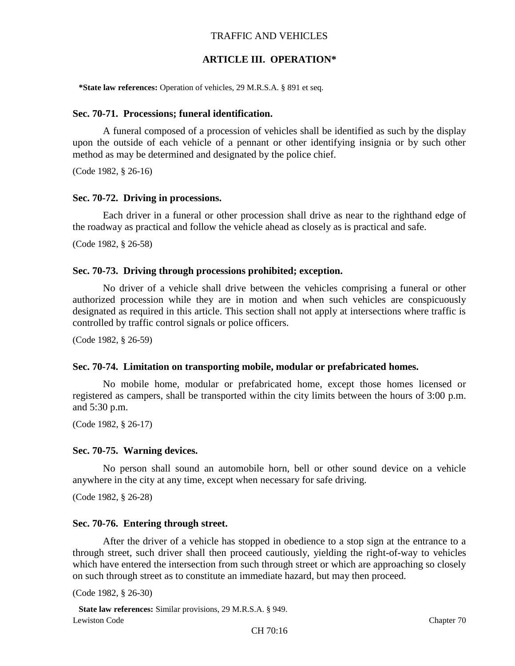## **ARTICLE III. OPERATION\***

**\*State law references:** Operation of vehicles, 29 M.R.S.A. § 891 et seq.

#### **Sec. 70-71. Processions; funeral identification.**

A funeral composed of a procession of vehicles shall be identified as such by the display upon the outside of each vehicle of a pennant or other identifying insignia or by such other method as may be determined and designated by the police chief.

(Code 1982, § 26-16)

#### **Sec. 70-72. Driving in processions.**

Each driver in a funeral or other procession shall drive as near to the righthand edge of the roadway as practical and follow the vehicle ahead as closely as is practical and safe.

(Code 1982, § 26-58)

#### **Sec. 70-73. Driving through processions prohibited; exception.**

No driver of a vehicle shall drive between the vehicles comprising a funeral or other authorized procession while they are in motion and when such vehicles are conspicuously designated as required in this article. This section shall not apply at intersections where traffic is controlled by traffic control signals or police officers.

(Code 1982, § 26-59)

#### **Sec. 70-74. Limitation on transporting mobile, modular or prefabricated homes.**

No mobile home, modular or prefabricated home, except those homes licensed or registered as campers, shall be transported within the city limits between the hours of 3:00 p.m. and 5:30 p.m.

(Code 1982, § 26-17)

#### **Sec. 70-75. Warning devices.**

No person shall sound an automobile horn, bell or other sound device on a vehicle anywhere in the city at any time, except when necessary for safe driving.

(Code 1982, § 26-28)

#### **Sec. 70-76. Entering through street.**

After the driver of a vehicle has stopped in obedience to a stop sign at the entrance to a through street, such driver shall then proceed cautiously, yielding the right-of-way to vehicles which have entered the intersection from such through street or which are approaching so closely on such through street as to constitute an immediate hazard, but may then proceed.

(Code 1982, § 26-30)

Lewiston Code Chapter 70 **State law references:** Similar provisions, 29 M.R.S.A. § 949.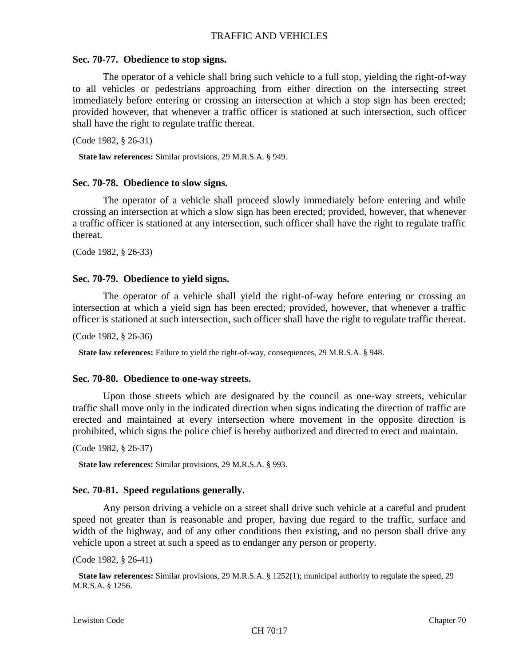### **Sec. 70-77. Obedience to stop signs.**

The operator of a vehicle shall bring such vehicle to a full stop, yielding the right-of-way to all vehicles or pedestrians approaching from either direction on the intersecting street immediately before entering or crossing an intersection at which a stop sign has been erected; provided however, that whenever a traffic officer is stationed at such intersection, such officer shall have the right to regulate traffic thereat.

(Code 1982, § 26-31)

**State law references:** Similar provisions, 29 M.R.S.A. § 949.

#### **Sec. 70-78. Obedience to slow signs.**

The operator of a vehicle shall proceed slowly immediately before entering and while crossing an intersection at which a slow sign has been erected; provided, however, that whenever a traffic officer is stationed at any intersection, such officer shall have the right to regulate traffic thereat.

(Code 1982, § 26-33)

#### **Sec. 70-79. Obedience to yield signs.**

The operator of a vehicle shall yield the right-of-way before entering or crossing an intersection at which a yield sign has been erected; provided, however, that whenever a traffic officer is stationed at such intersection, such officer shall have the right to regulate traffic thereat.

(Code 1982, § 26-36)

**State law references:** Failure to yield the right-of-way, consequences, 29 M.R.S.A. § 948.

#### **Sec. 70-80. Obedience to one-way streets.**

Upon those streets which are designated by the council as one-way streets, vehicular traffic shall move only in the indicated direction when signs indicating the direction of traffic are erected and maintained at every intersection where movement in the opposite direction is prohibited, which signs the police chief is hereby authorized and directed to erect and maintain.

(Code 1982, § 26-37)

**State law references:** Similar provisions, 29 M.R.S.A. § 993.

#### **Sec. 70-81. Speed regulations generally.**

Any person driving a vehicle on a street shall drive such vehicle at a careful and prudent speed not greater than is reasonable and proper, having due regard to the traffic, surface and width of the highway, and of any other conditions then existing, and no person shall drive any vehicle upon a street at such a speed as to endanger any person or property.

(Code 1982, § 26-41)

**State law references:** Similar provisions, 29 M.R.S.A. § 1252(1); municipal authority to regulate the speed, 29 M.R.S.A. § 1256.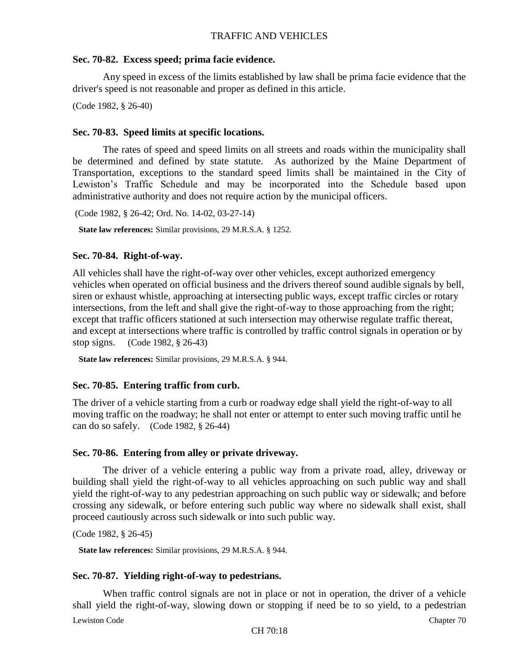### **Sec. 70-82. Excess speed; prima facie evidence.**

Any speed in excess of the limits established by law shall be prima facie evidence that the driver's speed is not reasonable and proper as defined in this article.

(Code 1982, § 26-40)

### **Sec. 70-83. Speed limits at specific locations.**

The rates of speed and speed limits on all streets and roads within the municipality shall be determined and defined by state statute. As authorized by the Maine Department of Transportation, exceptions to the standard speed limits shall be maintained in the City of Lewiston's Traffic Schedule and may be incorporated into the Schedule based upon administrative authority and does not require action by the municipal officers.

(Code 1982, § 26-42; Ord. No. 14-02, 03-27-14)

**State law references:** Similar provisions, 29 M.R.S.A. § 1252.

### **Sec. 70-84. Right-of-way.**

All vehicles shall have the right-of-way over other vehicles, except authorized emergency vehicles when operated on official business and the drivers thereof sound audible signals by bell, siren or exhaust whistle, approaching at intersecting public ways, except traffic circles or rotary intersections, from the left and shall give the right-of-way to those approaching from the right; except that traffic officers stationed at such intersection may otherwise regulate traffic thereat, and except at intersections where traffic is controlled by traffic control signals in operation or by stop signs. (Code 1982, § 26-43)

**State law references:** Similar provisions, 29 M.R.S.A. § 944.

## **Sec. 70-85. Entering traffic from curb.**

The driver of a vehicle starting from a curb or roadway edge shall yield the right-of-way to all moving traffic on the roadway; he shall not enter or attempt to enter such moving traffic until he can do so safely. (Code 1982, § 26-44)

## **Sec. 70-86. Entering from alley or private driveway.**

The driver of a vehicle entering a public way from a private road, alley, driveway or building shall yield the right-of-way to all vehicles approaching on such public way and shall yield the right-of-way to any pedestrian approaching on such public way or sidewalk; and before crossing any sidewalk, or before entering such public way where no sidewalk shall exist, shall proceed cautiously across such sidewalk or into such public way.

```
(Code 1982, § 26-45)
```
**State law references:** Similar provisions, 29 M.R.S.A. § 944.

## **Sec. 70-87. Yielding right-of-way to pedestrians.**

Lewiston Code Chapter 70 When traffic control signals are not in place or not in operation, the driver of a vehicle shall yield the right-of-way, slowing down or stopping if need be to so yield, to a pedestrian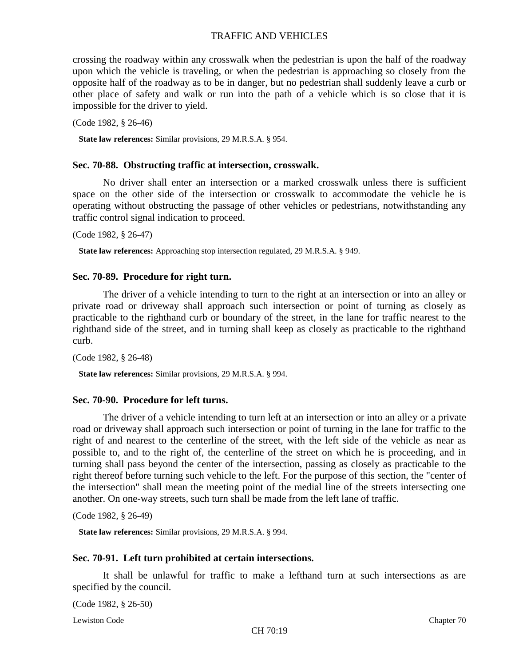crossing the roadway within any crosswalk when the pedestrian is upon the half of the roadway upon which the vehicle is traveling, or when the pedestrian is approaching so closely from the opposite half of the roadway as to be in danger, but no pedestrian shall suddenly leave a curb or other place of safety and walk or run into the path of a vehicle which is so close that it is impossible for the driver to yield.

(Code 1982, § 26-46)

**State law references:** Similar provisions, 29 M.R.S.A. § 954.

#### **Sec. 70-88. Obstructing traffic at intersection, crosswalk.**

No driver shall enter an intersection or a marked crosswalk unless there is sufficient space on the other side of the intersection or crosswalk to accommodate the vehicle he is operating without obstructing the passage of other vehicles or pedestrians, notwithstanding any traffic control signal indication to proceed.

(Code 1982, § 26-47)

**State law references:** Approaching stop intersection regulated, 29 M.R.S.A. § 949.

#### **Sec. 70-89. Procedure for right turn.**

The driver of a vehicle intending to turn to the right at an intersection or into an alley or private road or driveway shall approach such intersection or point of turning as closely as practicable to the righthand curb or boundary of the street, in the lane for traffic nearest to the righthand side of the street, and in turning shall keep as closely as practicable to the righthand curb.

(Code 1982, § 26-48)

**State law references:** Similar provisions, 29 M.R.S.A. § 994.

#### **Sec. 70-90. Procedure for left turns.**

The driver of a vehicle intending to turn left at an intersection or into an alley or a private road or driveway shall approach such intersection or point of turning in the lane for traffic to the right of and nearest to the centerline of the street, with the left side of the vehicle as near as possible to, and to the right of, the centerline of the street on which he is proceeding, and in turning shall pass beyond the center of the intersection, passing as closely as practicable to the right thereof before turning such vehicle to the left. For the purpose of this section, the "center of the intersection" shall mean the meeting point of the medial line of the streets intersecting one another. On one-way streets, such turn shall be made from the left lane of traffic.

(Code 1982, § 26-49)

**State law references:** Similar provisions, 29 M.R.S.A. § 994.

#### **Sec. 70-91. Left turn prohibited at certain intersections.**

It shall be unlawful for traffic to make a lefthand turn at such intersections as are specified by the council.

(Code 1982, § 26-50)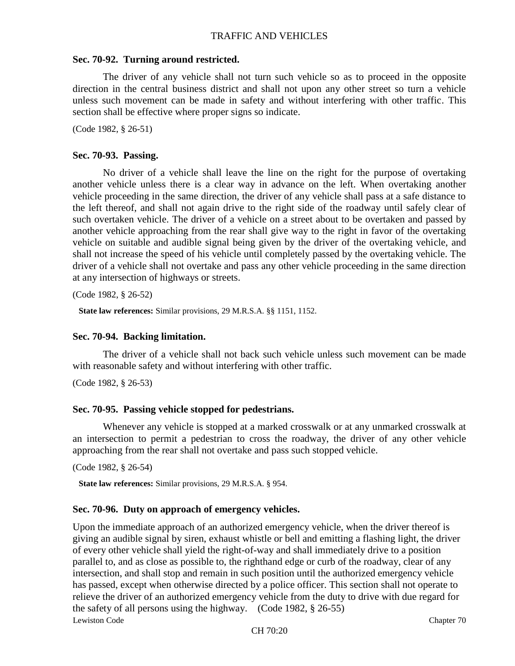### **Sec. 70-92. Turning around restricted.**

The driver of any vehicle shall not turn such vehicle so as to proceed in the opposite direction in the central business district and shall not upon any other street so turn a vehicle unless such movement can be made in safety and without interfering with other traffic. This section shall be effective where proper signs so indicate.

(Code 1982, § 26-51)

#### **Sec. 70-93. Passing.**

No driver of a vehicle shall leave the line on the right for the purpose of overtaking another vehicle unless there is a clear way in advance on the left. When overtaking another vehicle proceeding in the same direction, the driver of any vehicle shall pass at a safe distance to the left thereof, and shall not again drive to the right side of the roadway until safely clear of such overtaken vehicle. The driver of a vehicle on a street about to be overtaken and passed by another vehicle approaching from the rear shall give way to the right in favor of the overtaking vehicle on suitable and audible signal being given by the driver of the overtaking vehicle, and shall not increase the speed of his vehicle until completely passed by the overtaking vehicle. The driver of a vehicle shall not overtake and pass any other vehicle proceeding in the same direction at any intersection of highways or streets.

(Code 1982, § 26-52)

**State law references:** Similar provisions, 29 M.R.S.A. §§ 1151, 1152.

#### **Sec. 70-94. Backing limitation.**

The driver of a vehicle shall not back such vehicle unless such movement can be made with reasonable safety and without interfering with other traffic.

(Code 1982, § 26-53)

#### **Sec. 70-95. Passing vehicle stopped for pedestrians.**

Whenever any vehicle is stopped at a marked crosswalk or at any unmarked crosswalk at an intersection to permit a pedestrian to cross the roadway, the driver of any other vehicle approaching from the rear shall not overtake and pass such stopped vehicle.

(Code 1982, § 26-54)

**State law references:** Similar provisions, 29 M.R.S.A. § 954.

#### **Sec. 70-96. Duty on approach of emergency vehicles.**

Lewiston Code Chapter 70 Upon the immediate approach of an authorized emergency vehicle, when the driver thereof is giving an audible signal by siren, exhaust whistle or bell and emitting a flashing light, the driver of every other vehicle shall yield the right-of-way and shall immediately drive to a position parallel to, and as close as possible to, the righthand edge or curb of the roadway, clear of any intersection, and shall stop and remain in such position until the authorized emergency vehicle has passed, except when otherwise directed by a police officer. This section shall not operate to relieve the driver of an authorized emergency vehicle from the duty to drive with due regard for the safety of all persons using the highway. (Code 1982, § 26-55)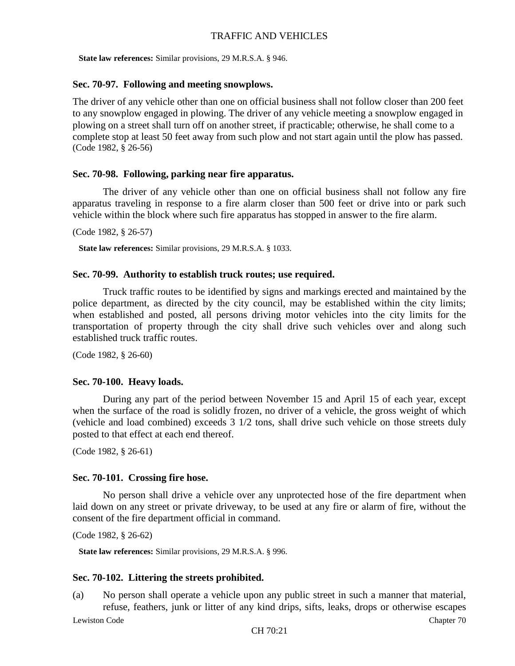**State law references:** Similar provisions, 29 M.R.S.A. § 946.

### **Sec. 70-97. Following and meeting snowplows.**

The driver of any vehicle other than one on official business shall not follow closer than 200 feet to any snowplow engaged in plowing. The driver of any vehicle meeting a snowplow engaged in plowing on a street shall turn off on another street, if practicable; otherwise, he shall come to a complete stop at least 50 feet away from such plow and not start again until the plow has passed. (Code 1982, § 26-56)

## **Sec. 70-98. Following, parking near fire apparatus.**

The driver of any vehicle other than one on official business shall not follow any fire apparatus traveling in response to a fire alarm closer than 500 feet or drive into or park such vehicle within the block where such fire apparatus has stopped in answer to the fire alarm.

(Code 1982, § 26-57)

**State law references:** Similar provisions, 29 M.R.S.A. § 1033.

### **Sec. 70-99. Authority to establish truck routes; use required.**

Truck traffic routes to be identified by signs and markings erected and maintained by the police department, as directed by the city council, may be established within the city limits; when established and posted, all persons driving motor vehicles into the city limits for the transportation of property through the city shall drive such vehicles over and along such established truck traffic routes.

(Code 1982, § 26-60)

## **Sec. 70-100. Heavy loads.**

During any part of the period between November 15 and April 15 of each year, except when the surface of the road is solidly frozen, no driver of a vehicle, the gross weight of which (vehicle and load combined) exceeds 3 1/2 tons, shall drive such vehicle on those streets duly posted to that effect at each end thereof.

(Code 1982, § 26-61)

## **Sec. 70-101. Crossing fire hose.**

No person shall drive a vehicle over any unprotected hose of the fire department when laid down on any street or private driveway, to be used at any fire or alarm of fire, without the consent of the fire department official in command.

(Code 1982, § 26-62)

**State law references:** Similar provisions, 29 M.R.S.A. § 996.

## **Sec. 70-102. Littering the streets prohibited.**

(a) No person shall operate a vehicle upon any public street in such a manner that material, refuse, feathers, junk or litter of any kind drips, sifts, leaks, drops or otherwise escapes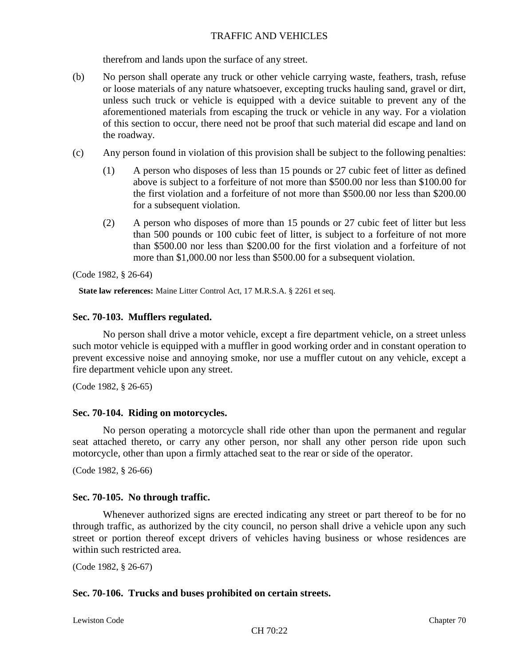therefrom and lands upon the surface of any street.

- (b) No person shall operate any truck or other vehicle carrying waste, feathers, trash, refuse or loose materials of any nature whatsoever, excepting trucks hauling sand, gravel or dirt, unless such truck or vehicle is equipped with a device suitable to prevent any of the aforementioned materials from escaping the truck or vehicle in any way. For a violation of this section to occur, there need not be proof that such material did escape and land on the roadway.
- (c) Any person found in violation of this provision shall be subject to the following penalties:
	- (1) A person who disposes of less than 15 pounds or 27 cubic feet of litter as defined above is subject to a forfeiture of not more than \$500.00 nor less than \$100.00 for the first violation and a forfeiture of not more than \$500.00 nor less than \$200.00 for a subsequent violation.
	- (2) A person who disposes of more than 15 pounds or 27 cubic feet of litter but less than 500 pounds or 100 cubic feet of litter, is subject to a forfeiture of not more than \$500.00 nor less than \$200.00 for the first violation and a forfeiture of not more than \$1,000.00 nor less than \$500.00 for a subsequent violation.

(Code 1982, § 26-64)

**State law references:** Maine Litter Control Act, 17 M.R.S.A. § 2261 et seq.

## **Sec. 70-103. Mufflers regulated.**

No person shall drive a motor vehicle, except a fire department vehicle, on a street unless such motor vehicle is equipped with a muffler in good working order and in constant operation to prevent excessive noise and annoying smoke, nor use a muffler cutout on any vehicle, except a fire department vehicle upon any street.

(Code 1982, § 26-65)

## **Sec. 70-104. Riding on motorcycles.**

No person operating a motorcycle shall ride other than upon the permanent and regular seat attached thereto, or carry any other person, nor shall any other person ride upon such motorcycle, other than upon a firmly attached seat to the rear or side of the operator.

(Code 1982, § 26-66)

## **Sec. 70-105. No through traffic.**

Whenever authorized signs are erected indicating any street or part thereof to be for no through traffic, as authorized by the city council, no person shall drive a vehicle upon any such street or portion thereof except drivers of vehicles having business or whose residences are within such restricted area.

(Code 1982, § 26-67)

## **Sec. 70-106. Trucks and buses prohibited on certain streets.**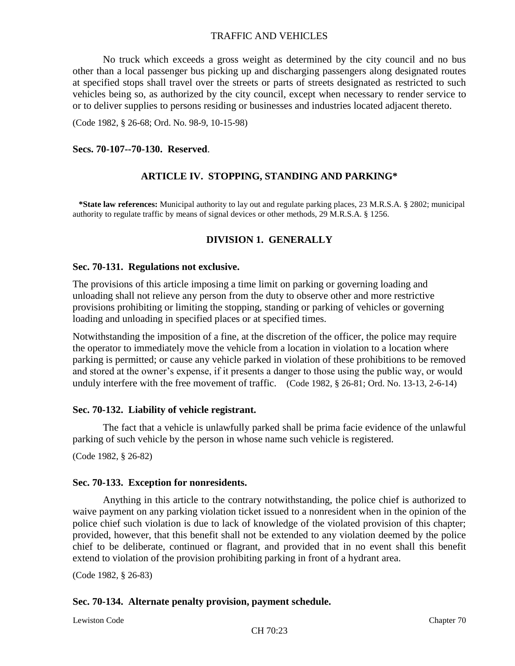No truck which exceeds a gross weight as determined by the city council and no bus other than a local passenger bus picking up and discharging passengers along designated routes at specified stops shall travel over the streets or parts of streets designated as restricted to such vehicles being so, as authorized by the city council, except when necessary to render service to or to deliver supplies to persons residing or businesses and industries located adjacent thereto.

(Code 1982, § 26-68; Ord. No. 98-9, 10-15-98)

#### **Secs. 70-107--70-130. Reserved**.

## **ARTICLE IV. STOPPING, STANDING AND PARKING\***

**\*State law references:** Municipal authority to lay out and regulate parking places, 23 M.R.S.A. § 2802; municipal authority to regulate traffic by means of signal devices or other methods, 29 M.R.S.A. § 1256.

## **DIVISION 1. GENERALLY**

#### **Sec. 70-131. Regulations not exclusive.**

The provisions of this article imposing a time limit on parking or governing loading and unloading shall not relieve any person from the duty to observe other and more restrictive provisions prohibiting or limiting the stopping, standing or parking of vehicles or governing loading and unloading in specified places or at specified times.

Notwithstanding the imposition of a fine, at the discretion of the officer, the police may require the operator to immediately move the vehicle from a location in violation to a location where parking is permitted; or cause any vehicle parked in violation of these prohibitions to be removed and stored at the owner's expense, if it presents a danger to those using the public way, or would unduly interfere with the free movement of traffic. (Code 1982, § 26-81; Ord. No. 13-13, 2-6-14)

#### **Sec. 70-132. Liability of vehicle registrant.**

The fact that a vehicle is unlawfully parked shall be prima facie evidence of the unlawful parking of such vehicle by the person in whose name such vehicle is registered.

(Code 1982, § 26-82)

#### **Sec. 70-133. Exception for nonresidents.**

Anything in this article to the contrary notwithstanding, the police chief is authorized to waive payment on any parking violation ticket issued to a nonresident when in the opinion of the police chief such violation is due to lack of knowledge of the violated provision of this chapter; provided, however, that this benefit shall not be extended to any violation deemed by the police chief to be deliberate, continued or flagrant, and provided that in no event shall this benefit extend to violation of the provision prohibiting parking in front of a hydrant area.

(Code 1982, § 26-83)

#### **Sec. 70-134. Alternate penalty provision, payment schedule.**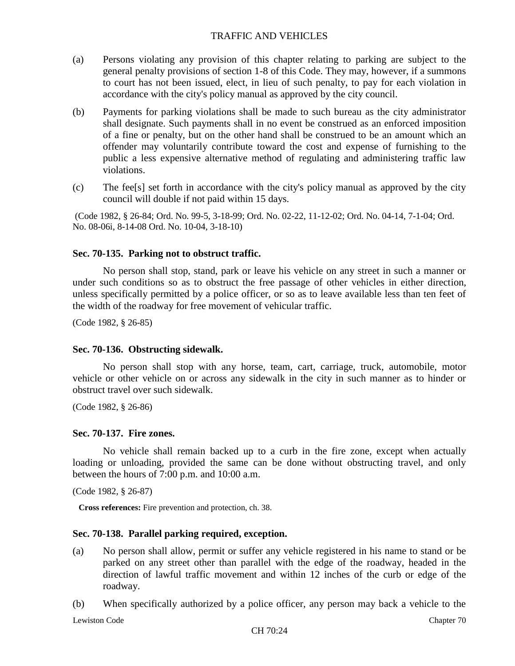- (a) Persons violating any provision of this chapter relating to parking are subject to the general penalty provisions of section 1-8 of this Code. They may, however, if a summons to court has not been issued, elect, in lieu of such penalty, to pay for each violation in accordance with the city's policy manual as approved by the city council.
- (b) Payments for parking violations shall be made to such bureau as the city administrator shall designate. Such payments shall in no event be construed as an enforced imposition of a fine or penalty, but on the other hand shall be construed to be an amount which an offender may voluntarily contribute toward the cost and expense of furnishing to the public a less expensive alternative method of regulating and administering traffic law violations.
- (c) The fee[s] set forth in accordance with the city's policy manual as approved by the city council will double if not paid within 15 days.

(Code 1982, § 26-84; Ord. No. 99-5, 3-18-99; Ord. No. 02-22, 11-12-02; Ord. No. 04-14, 7-1-04; Ord. No. 08-06i, 8-14-08 Ord. No. 10-04, 3-18-10)

# **Sec. 70-135. Parking not to obstruct traffic.**

No person shall stop, stand, park or leave his vehicle on any street in such a manner or under such conditions so as to obstruct the free passage of other vehicles in either direction, unless specifically permitted by a police officer, or so as to leave available less than ten feet of the width of the roadway for free movement of vehicular traffic.

(Code 1982, § 26-85)

## **Sec. 70-136. Obstructing sidewalk.**

No person shall stop with any horse, team, cart, carriage, truck, automobile, motor vehicle or other vehicle on or across any sidewalk in the city in such manner as to hinder or obstruct travel over such sidewalk.

(Code 1982, § 26-86)

## **Sec. 70-137. Fire zones.**

No vehicle shall remain backed up to a curb in the fire zone, except when actually loading or unloading, provided the same can be done without obstructing travel, and only between the hours of 7:00 p.m. and 10:00 a.m.

(Code 1982, § 26-87)

**Cross references:** Fire prevention and protection, ch. 38.

## **Sec. 70-138. Parallel parking required, exception.**

(a) No person shall allow, permit or suffer any vehicle registered in his name to stand or be parked on any street other than parallel with the edge of the roadway, headed in the direction of lawful traffic movement and within 12 inches of the curb or edge of the roadway.

(b) When specifically authorized by a police officer, any person may back a vehicle to the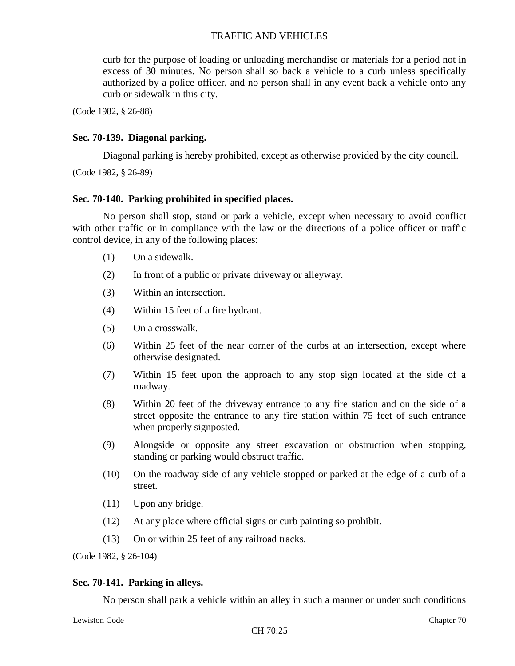curb for the purpose of loading or unloading merchandise or materials for a period not in excess of 30 minutes. No person shall so back a vehicle to a curb unless specifically authorized by a police officer, and no person shall in any event back a vehicle onto any curb or sidewalk in this city.

(Code 1982, § 26-88)

#### **Sec. 70-139. Diagonal parking.**

Diagonal parking is hereby prohibited, except as otherwise provided by the city council.

(Code 1982, § 26-89)

### **Sec. 70-140. Parking prohibited in specified places.**

No person shall stop, stand or park a vehicle, except when necessary to avoid conflict with other traffic or in compliance with the law or the directions of a police officer or traffic control device, in any of the following places:

- (1) On a sidewalk.
- (2) In front of a public or private driveway or alleyway.
- (3) Within an intersection.
- (4) Within 15 feet of a fire hydrant.
- (5) On a crosswalk.
- (6) Within 25 feet of the near corner of the curbs at an intersection, except where otherwise designated.
- (7) Within 15 feet upon the approach to any stop sign located at the side of a roadway.
- (8) Within 20 feet of the driveway entrance to any fire station and on the side of a street opposite the entrance to any fire station within 75 feet of such entrance when properly signposted.
- (9) Alongside or opposite any street excavation or obstruction when stopping, standing or parking would obstruct traffic.
- (10) On the roadway side of any vehicle stopped or parked at the edge of a curb of a street.
- (11) Upon any bridge.
- (12) At any place where official signs or curb painting so prohibit.
- (13) On or within 25 feet of any railroad tracks.

(Code 1982, § 26-104)

#### **Sec. 70-141. Parking in alleys.**

No person shall park a vehicle within an alley in such a manner or under such conditions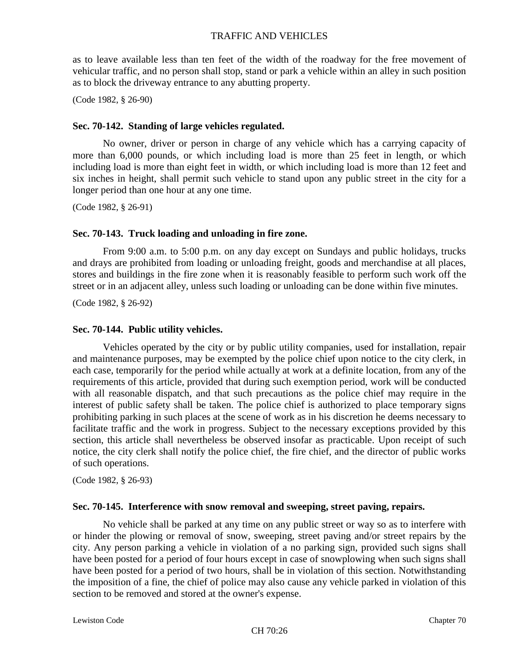as to leave available less than ten feet of the width of the roadway for the free movement of vehicular traffic, and no person shall stop, stand or park a vehicle within an alley in such position as to block the driveway entrance to any abutting property.

(Code 1982, § 26-90)

## **Sec. 70-142. Standing of large vehicles regulated.**

No owner, driver or person in charge of any vehicle which has a carrying capacity of more than 6,000 pounds, or which including load is more than 25 feet in length, or which including load is more than eight feet in width, or which including load is more than 12 feet and six inches in height, shall permit such vehicle to stand upon any public street in the city for a longer period than one hour at any one time.

(Code 1982, § 26-91)

### **Sec. 70-143. Truck loading and unloading in fire zone.**

From 9:00 a.m. to 5:00 p.m. on any day except on Sundays and public holidays, trucks and drays are prohibited from loading or unloading freight, goods and merchandise at all places, stores and buildings in the fire zone when it is reasonably feasible to perform such work off the street or in an adjacent alley, unless such loading or unloading can be done within five minutes.

(Code 1982, § 26-92)

#### **Sec. 70-144. Public utility vehicles.**

Vehicles operated by the city or by public utility companies, used for installation, repair and maintenance purposes, may be exempted by the police chief upon notice to the city clerk, in each case, temporarily for the period while actually at work at a definite location, from any of the requirements of this article, provided that during such exemption period, work will be conducted with all reasonable dispatch, and that such precautions as the police chief may require in the interest of public safety shall be taken. The police chief is authorized to place temporary signs prohibiting parking in such places at the scene of work as in his discretion he deems necessary to facilitate traffic and the work in progress. Subject to the necessary exceptions provided by this section, this article shall nevertheless be observed insofar as practicable. Upon receipt of such notice, the city clerk shall notify the police chief, the fire chief, and the director of public works of such operations.

(Code 1982, § 26-93)

## **Sec. 70-145. Interference with snow removal and sweeping, street paving, repairs.**

No vehicle shall be parked at any time on any public street or way so as to interfere with or hinder the plowing or removal of snow, sweeping, street paving and/or street repairs by the city. Any person parking a vehicle in violation of a no parking sign, provided such signs shall have been posted for a period of four hours except in case of snowplowing when such signs shall have been posted for a period of two hours, shall be in violation of this section. Notwithstanding the imposition of a fine, the chief of police may also cause any vehicle parked in violation of this section to be removed and stored at the owner's expense.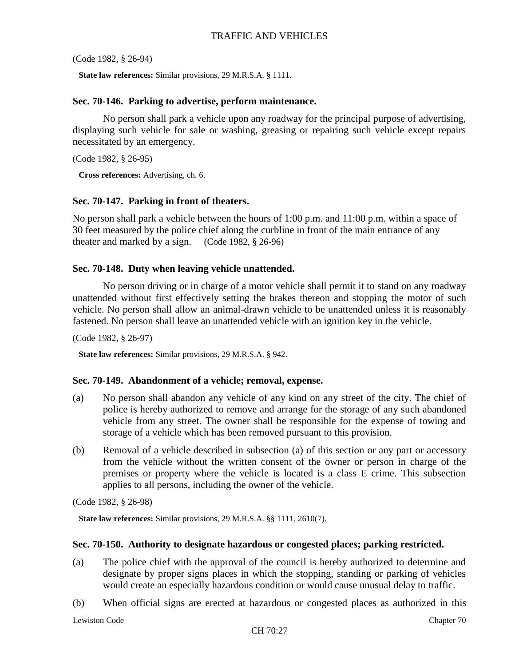(Code 1982, § 26-94)

**State law references:** Similar provisions, 29 M.R.S.A. § 1111.

#### **Sec. 70-146. Parking to advertise, perform maintenance.**

No person shall park a vehicle upon any roadway for the principal purpose of advertising, displaying such vehicle for sale or washing, greasing or repairing such vehicle except repairs necessitated by an emergency.

(Code 1982, § 26-95)

**Cross references:** Advertising, ch. 6.

## **Sec. 70-147. Parking in front of theaters.**

No person shall park a vehicle between the hours of 1:00 p.m. and 11:00 p.m. within a space of 30 feet measured by the police chief along the curbline in front of the main entrance of any theater and marked by a sign. (Code 1982, § 26-96)

### **Sec. 70-148. Duty when leaving vehicle unattended.**

No person driving or in charge of a motor vehicle shall permit it to stand on any roadway unattended without first effectively setting the brakes thereon and stopping the motor of such vehicle. No person shall allow an animal-drawn vehicle to be unattended unless it is reasonably fastened. No person shall leave an unattended vehicle with an ignition key in the vehicle.

(Code 1982, § 26-97)

**State law references:** Similar provisions, 29 M.R.S.A. § 942.

#### **Sec. 70-149. Abandonment of a vehicle; removal, expense.**

- (a) No person shall abandon any vehicle of any kind on any street of the city. The chief of police is hereby authorized to remove and arrange for the storage of any such abandoned vehicle from any street. The owner shall be responsible for the expense of towing and storage of a vehicle which has been removed pursuant to this provision.
- (b) Removal of a vehicle described in subsection (a) of this section or any part or accessory from the vehicle without the written consent of the owner or person in charge of the premises or property where the vehicle is located is a class E crime. This subsection applies to all persons, including the owner of the vehicle.

(Code 1982, § 26-98)

**State law references:** Similar provisions, 29 M.R.S.A. §§ 1111, 2610(7).

#### **Sec. 70-150. Authority to designate hazardous or congested places; parking restricted.**

- (a) The police chief with the approval of the council is hereby authorized to determine and designate by proper signs places in which the stopping, standing or parking of vehicles would create an especially hazardous condition or would cause unusual delay to traffic.
- (b) When official signs are erected at hazardous or congested places as authorized in this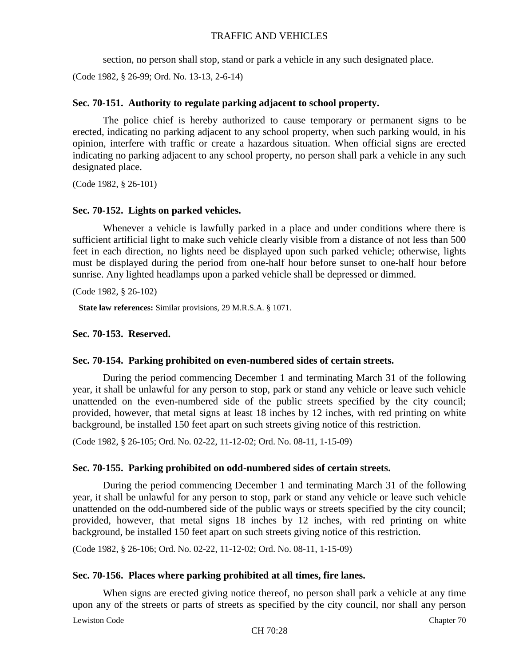section, no person shall stop, stand or park a vehicle in any such designated place.

(Code 1982, § 26-99; Ord. No. 13-13, 2-6-14)

# **Sec. 70-151. Authority to regulate parking adjacent to school property.**

The police chief is hereby authorized to cause temporary or permanent signs to be erected, indicating no parking adjacent to any school property, when such parking would, in his opinion, interfere with traffic or create a hazardous situation. When official signs are erected indicating no parking adjacent to any school property, no person shall park a vehicle in any such designated place.

(Code 1982, § 26-101)

## **Sec. 70-152. Lights on parked vehicles.**

Whenever a vehicle is lawfully parked in a place and under conditions where there is sufficient artificial light to make such vehicle clearly visible from a distance of not less than 500 feet in each direction, no lights need be displayed upon such parked vehicle; otherwise, lights must be displayed during the period from one-half hour before sunset to one-half hour before sunrise. Any lighted headlamps upon a parked vehicle shall be depressed or dimmed.

(Code 1982, § 26-102)

**State law references:** Similar provisions, 29 M.R.S.A. § 1071.

## **Sec. 70-153. Reserved.**

## **Sec. 70-154. Parking prohibited on even-numbered sides of certain streets.**

During the period commencing December 1 and terminating March 31 of the following year, it shall be unlawful for any person to stop, park or stand any vehicle or leave such vehicle unattended on the even-numbered side of the public streets specified by the city council; provided, however, that metal signs at least 18 inches by 12 inches, with red printing on white background, be installed 150 feet apart on such streets giving notice of this restriction.

(Code 1982, § 26-105; Ord. No. 02-22, 11-12-02; Ord. No. 08-11, 1-15-09)

## **Sec. 70-155. Parking prohibited on odd-numbered sides of certain streets.**

During the period commencing December 1 and terminating March 31 of the following year, it shall be unlawful for any person to stop, park or stand any vehicle or leave such vehicle unattended on the odd-numbered side of the public ways or streets specified by the city council; provided, however, that metal signs 18 inches by 12 inches, with red printing on white background, be installed 150 feet apart on such streets giving notice of this restriction.

(Code 1982, § 26-106; Ord. No. 02-22, 11-12-02; Ord. No. 08-11, 1-15-09)

## **Sec. 70-156. Places where parking prohibited at all times, fire lanes.**

When signs are erected giving notice thereof, no person shall park a vehicle at any time upon any of the streets or parts of streets as specified by the city council, nor shall any person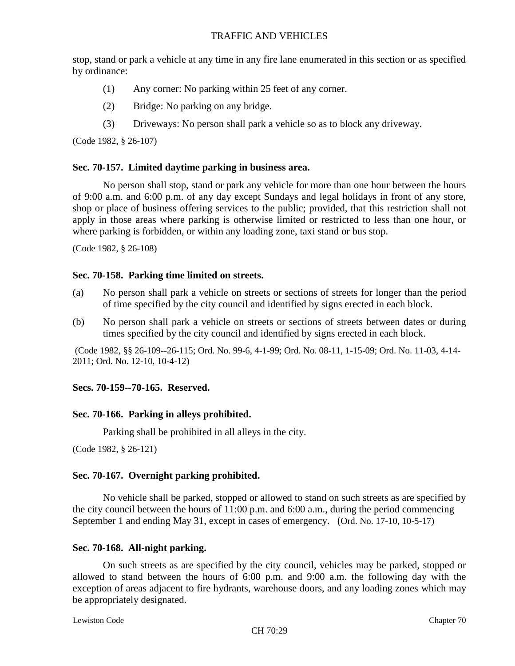stop, stand or park a vehicle at any time in any fire lane enumerated in this section or as specified by ordinance:

- (1) Any corner: No parking within 25 feet of any corner.
- (2) Bridge: No parking on any bridge.
- (3) Driveways: No person shall park a vehicle so as to block any driveway.

(Code 1982, § 26-107)

### **Sec. 70-157. Limited daytime parking in business area.**

No person shall stop, stand or park any vehicle for more than one hour between the hours of 9:00 a.m. and 6:00 p.m. of any day except Sundays and legal holidays in front of any store, shop or place of business offering services to the public; provided, that this restriction shall not apply in those areas where parking is otherwise limited or restricted to less than one hour, or where parking is forbidden, or within any loading zone, taxi stand or bus stop.

(Code 1982, § 26-108)

### **Sec. 70-158. Parking time limited on streets.**

- (a) No person shall park a vehicle on streets or sections of streets for longer than the period of time specified by the city council and identified by signs erected in each block.
- (b) No person shall park a vehicle on streets or sections of streets between dates or during times specified by the city council and identified by signs erected in each block.

(Code 1982, §§ 26-109--26-115; Ord. No. 99-6, 4-1-99; Ord. No. 08-11, 1-15-09; Ord. No. 11-03, 4-14- 2011; Ord. No. 12-10, 10-4-12)

## **Secs. 70-159--70-165. Reserved.**

## **Sec. 70-166. Parking in alleys prohibited.**

Parking shall be prohibited in all alleys in the city.

(Code 1982, § 26-121)

## **Sec. 70-167. Overnight parking prohibited.**

No vehicle shall be parked, stopped or allowed to stand on such streets as are specified by the city council between the hours of 11:00 p.m. and 6:00 a.m., during the period commencing September 1 and ending May 31, except in cases of emergency. (Ord. No. 17-10, 10-5-17)

## **Sec. 70-168. All-night parking.**

On such streets as are specified by the city council, vehicles may be parked, stopped or allowed to stand between the hours of 6:00 p.m. and 9:00 a.m. the following day with the exception of areas adjacent to fire hydrants, warehouse doors, and any loading zones which may be appropriately designated.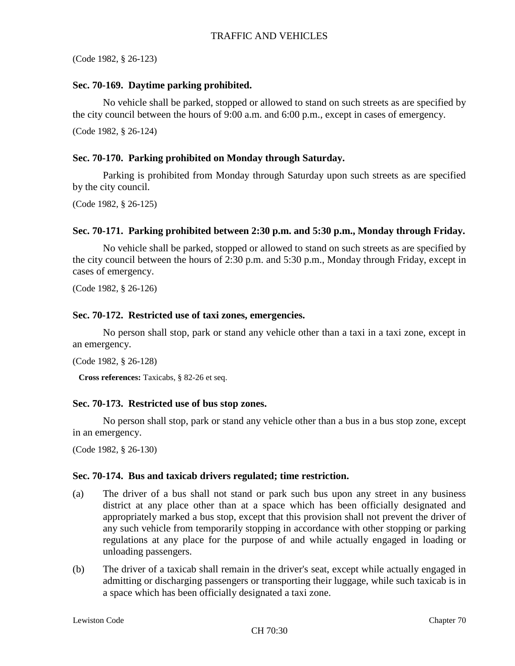(Code 1982, § 26-123)

## **Sec. 70-169. Daytime parking prohibited.**

No vehicle shall be parked, stopped or allowed to stand on such streets as are specified by the city council between the hours of 9:00 a.m. and 6:00 p.m., except in cases of emergency. (Code 1982, § 26-124)

# **Sec. 70-170. Parking prohibited on Monday through Saturday.**

Parking is prohibited from Monday through Saturday upon such streets as are specified by the city council.

(Code 1982, § 26-125)

## **Sec. 70-171. Parking prohibited between 2:30 p.m. and 5:30 p.m., Monday through Friday.**

No vehicle shall be parked, stopped or allowed to stand on such streets as are specified by the city council between the hours of 2:30 p.m. and 5:30 p.m., Monday through Friday, except in cases of emergency.

(Code 1982, § 26-126)

## **Sec. 70-172. Restricted use of taxi zones, emergencies.**

No person shall stop, park or stand any vehicle other than a taxi in a taxi zone, except in an emergency.

(Code 1982, § 26-128)

**Cross references:** Taxicabs, § 82-26 et seq.

## **Sec. 70-173. Restricted use of bus stop zones.**

No person shall stop, park or stand any vehicle other than a bus in a bus stop zone, except in an emergency.

(Code 1982, § 26-130)

## **Sec. 70-174. Bus and taxicab drivers regulated; time restriction.**

- (a) The driver of a bus shall not stand or park such bus upon any street in any business district at any place other than at a space which has been officially designated and appropriately marked a bus stop, except that this provision shall not prevent the driver of any such vehicle from temporarily stopping in accordance with other stopping or parking regulations at any place for the purpose of and while actually engaged in loading or unloading passengers.
- (b) The driver of a taxicab shall remain in the driver's seat, except while actually engaged in admitting or discharging passengers or transporting their luggage, while such taxicab is in a space which has been officially designated a taxi zone.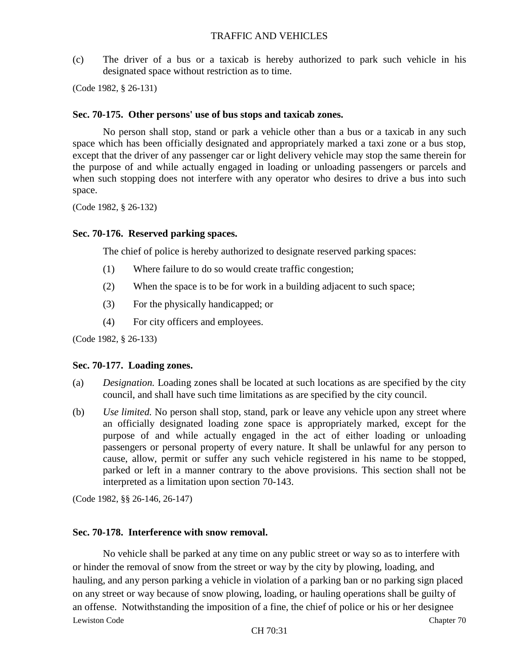(c) The driver of a bus or a taxicab is hereby authorized to park such vehicle in his designated space without restriction as to time.

(Code 1982, § 26-131)

#### **Sec. 70-175. Other persons' use of bus stops and taxicab zones.**

No person shall stop, stand or park a vehicle other than a bus or a taxicab in any such space which has been officially designated and appropriately marked a taxi zone or a bus stop, except that the driver of any passenger car or light delivery vehicle may stop the same therein for the purpose of and while actually engaged in loading or unloading passengers or parcels and when such stopping does not interfere with any operator who desires to drive a bus into such space.

(Code 1982, § 26-132)

#### **Sec. 70-176. Reserved parking spaces.**

The chief of police is hereby authorized to designate reserved parking spaces:

- (1) Where failure to do so would create traffic congestion;
- (2) When the space is to be for work in a building adjacent to such space;
- (3) For the physically handicapped; or
- (4) For city officers and employees.

(Code 1982, § 26-133)

#### **Sec. 70-177. Loading zones.**

- (a) *Designation.* Loading zones shall be located at such locations as are specified by the city council, and shall have such time limitations as are specified by the city council.
- (b) *Use limited.* No person shall stop, stand, park or leave any vehicle upon any street where an officially designated loading zone space is appropriately marked, except for the purpose of and while actually engaged in the act of either loading or unloading passengers or personal property of every nature. It shall be unlawful for any person to cause, allow, permit or suffer any such vehicle registered in his name to be stopped, parked or left in a manner contrary to the above provisions. This section shall not be interpreted as a limitation upon section 70-143.

(Code 1982, §§ 26-146, 26-147)

## **Sec. 70-178. Interference with snow removal.**

Lewiston Code Chapter 70 No vehicle shall be parked at any time on any public street or way so as to interfere with or hinder the removal of snow from the street or way by the city by plowing, loading, and hauling, and any person parking a vehicle in violation of a parking ban or no parking sign placed on any street or way because of snow plowing, loading, or hauling operations shall be guilty of an offense. Notwithstanding the imposition of a fine, the chief of police or his or her designee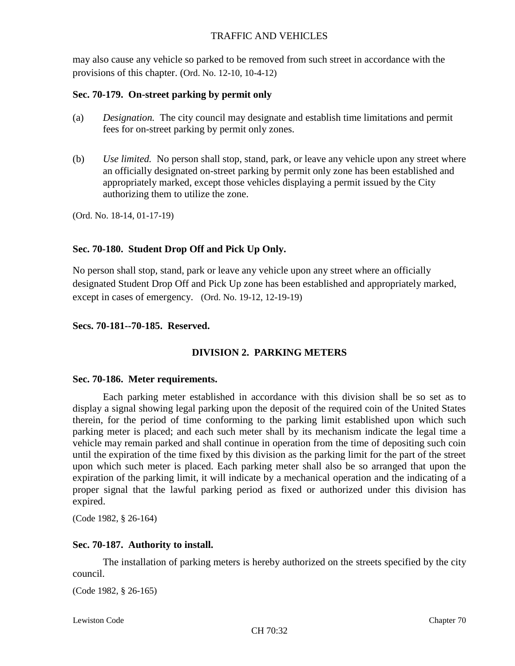may also cause any vehicle so parked to be removed from such street in accordance with the provisions of this chapter. (Ord. No. 12-10, 10-4-12)

## **Sec. 70-179. On-street parking by permit only**

- (a) *Designation.* The city council may designate and establish time limitations and permit fees for on-street parking by permit only zones.
- (b) *Use limited.* No person shall stop, stand, park, or leave any vehicle upon any street where an officially designated on-street parking by permit only zone has been established and appropriately marked, except those vehicles displaying a permit issued by the City authorizing them to utilize the zone.

(Ord. No. 18-14, 01-17-19)

# **Sec. 70-180. Student Drop Off and Pick Up Only.**

No person shall stop, stand, park or leave any vehicle upon any street where an officially designated Student Drop Off and Pick Up zone has been established and appropriately marked, except in cases of emergency. (Ord. No. 19-12, 12-19-19)

## **Secs. 70-181--70-185. Reserved.**

# **DIVISION 2. PARKING METERS**

## **Sec. 70-186. Meter requirements.**

Each parking meter established in accordance with this division shall be so set as to display a signal showing legal parking upon the deposit of the required coin of the United States therein, for the period of time conforming to the parking limit established upon which such parking meter is placed; and each such meter shall by its mechanism indicate the legal time a vehicle may remain parked and shall continue in operation from the time of depositing such coin until the expiration of the time fixed by this division as the parking limit for the part of the street upon which such meter is placed. Each parking meter shall also be so arranged that upon the expiration of the parking limit, it will indicate by a mechanical operation and the indicating of a proper signal that the lawful parking period as fixed or authorized under this division has expired.

(Code 1982, § 26-164)

## **Sec. 70-187. Authority to install.**

The installation of parking meters is hereby authorized on the streets specified by the city council.

(Code 1982, § 26-165)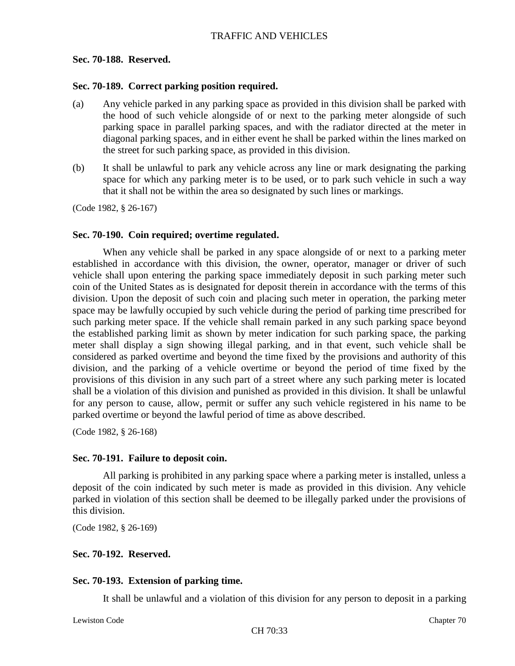## **Sec. 70-188. Reserved.**

### **Sec. 70-189. Correct parking position required.**

- (a) Any vehicle parked in any parking space as provided in this division shall be parked with the hood of such vehicle alongside of or next to the parking meter alongside of such parking space in parallel parking spaces, and with the radiator directed at the meter in diagonal parking spaces, and in either event he shall be parked within the lines marked on the street for such parking space, as provided in this division.
- (b) It shall be unlawful to park any vehicle across any line or mark designating the parking space for which any parking meter is to be used, or to park such vehicle in such a way that it shall not be within the area so designated by such lines or markings.

(Code 1982, § 26-167)

## **Sec. 70-190. Coin required; overtime regulated.**

When any vehicle shall be parked in any space alongside of or next to a parking meter established in accordance with this division, the owner, operator, manager or driver of such vehicle shall upon entering the parking space immediately deposit in such parking meter such coin of the United States as is designated for deposit therein in accordance with the terms of this division. Upon the deposit of such coin and placing such meter in operation, the parking meter space may be lawfully occupied by such vehicle during the period of parking time prescribed for such parking meter space. If the vehicle shall remain parked in any such parking space beyond the established parking limit as shown by meter indication for such parking space, the parking meter shall display a sign showing illegal parking, and in that event, such vehicle shall be considered as parked overtime and beyond the time fixed by the provisions and authority of this division, and the parking of a vehicle overtime or beyond the period of time fixed by the provisions of this division in any such part of a street where any such parking meter is located shall be a violation of this division and punished as provided in this division. It shall be unlawful for any person to cause, allow, permit or suffer any such vehicle registered in his name to be parked overtime or beyond the lawful period of time as above described.

(Code 1982, § 26-168)

## **Sec. 70-191. Failure to deposit coin.**

All parking is prohibited in any parking space where a parking meter is installed, unless a deposit of the coin indicated by such meter is made as provided in this division. Any vehicle parked in violation of this section shall be deemed to be illegally parked under the provisions of this division.

(Code 1982, § 26-169)

## **Sec. 70-192. Reserved.**

## **Sec. 70-193. Extension of parking time.**

It shall be unlawful and a violation of this division for any person to deposit in a parking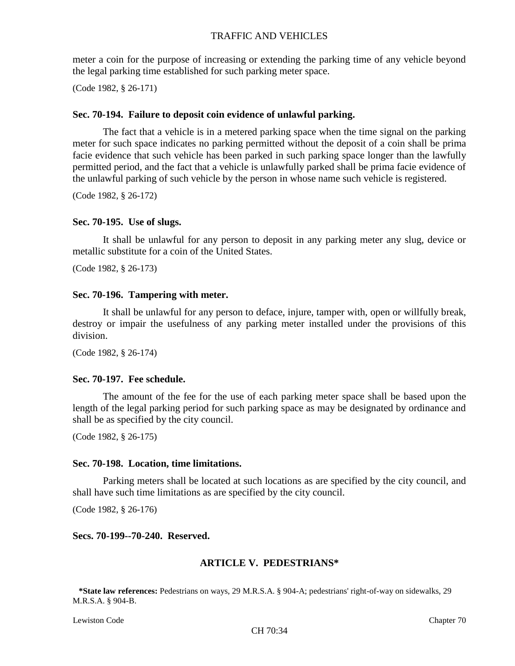meter a coin for the purpose of increasing or extending the parking time of any vehicle beyond the legal parking time established for such parking meter space.

(Code 1982, § 26-171)

### **Sec. 70-194. Failure to deposit coin evidence of unlawful parking.**

The fact that a vehicle is in a metered parking space when the time signal on the parking meter for such space indicates no parking permitted without the deposit of a coin shall be prima facie evidence that such vehicle has been parked in such parking space longer than the lawfully permitted period, and the fact that a vehicle is unlawfully parked shall be prima facie evidence of the unlawful parking of such vehicle by the person in whose name such vehicle is registered.

(Code 1982, § 26-172)

#### **Sec. 70-195. Use of slugs.**

It shall be unlawful for any person to deposit in any parking meter any slug, device or metallic substitute for a coin of the United States.

(Code 1982, § 26-173)

#### **Sec. 70-196. Tampering with meter.**

It shall be unlawful for any person to deface, injure, tamper with, open or willfully break, destroy or impair the usefulness of any parking meter installed under the provisions of this division.

(Code 1982, § 26-174)

### **Sec. 70-197. Fee schedule.**

The amount of the fee for the use of each parking meter space shall be based upon the length of the legal parking period for such parking space as may be designated by ordinance and shall be as specified by the city council.

(Code 1982, § 26-175)

#### **Sec. 70-198. Location, time limitations.**

Parking meters shall be located at such locations as are specified by the city council, and shall have such time limitations as are specified by the city council.

(Code 1982, § 26-176)

#### **Secs. 70-199--70-240. Reserved.**

#### **ARTICLE V. PEDESTRIANS\***

**\*State law references:** Pedestrians on ways, 29 M.R.S.A. § 904-A; pedestrians' right-of-way on sidewalks, 29 M.R.S.A. § 904-B.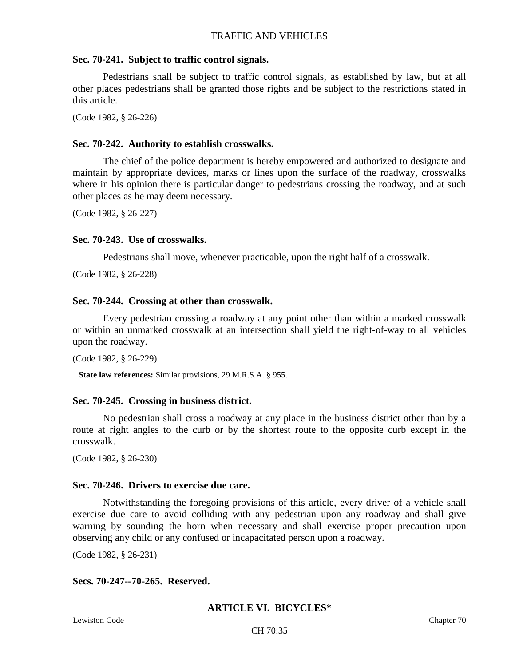### **Sec. 70-241. Subject to traffic control signals.**

Pedestrians shall be subject to traffic control signals, as established by law, but at all other places pedestrians shall be granted those rights and be subject to the restrictions stated in this article.

(Code 1982, § 26-226)

### **Sec. 70-242. Authority to establish crosswalks.**

The chief of the police department is hereby empowered and authorized to designate and maintain by appropriate devices, marks or lines upon the surface of the roadway, crosswalks where in his opinion there is particular danger to pedestrians crossing the roadway, and at such other places as he may deem necessary.

(Code 1982, § 26-227)

### **Sec. 70-243. Use of crosswalks.**

Pedestrians shall move, whenever practicable, upon the right half of a crosswalk.

(Code 1982, § 26-228)

### **Sec. 70-244. Crossing at other than crosswalk.**

Every pedestrian crossing a roadway at any point other than within a marked crosswalk or within an unmarked crosswalk at an intersection shall yield the right-of-way to all vehicles upon the roadway.

```
(Code 1982, § 26-229)
```
**State law references:** Similar provisions, 29 M.R.S.A. § 955.

## **Sec. 70-245. Crossing in business district.**

No pedestrian shall cross a roadway at any place in the business district other than by a route at right angles to the curb or by the shortest route to the opposite curb except in the crosswalk.

(Code 1982, § 26-230)

## **Sec. 70-246. Drivers to exercise due care.**

Notwithstanding the foregoing provisions of this article, every driver of a vehicle shall exercise due care to avoid colliding with any pedestrian upon any roadway and shall give warning by sounding the horn when necessary and shall exercise proper precaution upon observing any child or any confused or incapacitated person upon a roadway.

(Code 1982, § 26-231)

## **Secs. 70-247--70-265. Reserved.**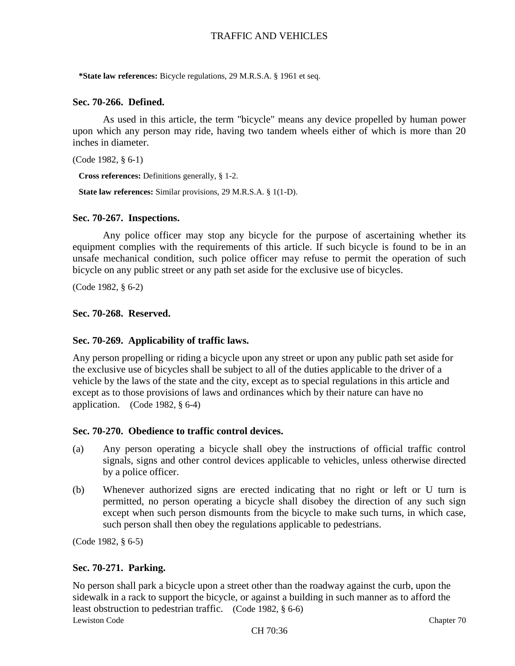**\*State law references:** Bicycle regulations, 29 M.R.S.A. § 1961 et seq.

### **Sec. 70-266. Defined.**

As used in this article, the term "bicycle" means any device propelled by human power upon which any person may ride, having two tandem wheels either of which is more than 20 inches in diameter.

```
(Code 1982, § 6-1)
```
**Cross references:** Definitions generally, § 1-2.

**State law references:** Similar provisions, 29 M.R.S.A. § 1(1-D).

#### **Sec. 70-267. Inspections.**

Any police officer may stop any bicycle for the purpose of ascertaining whether its equipment complies with the requirements of this article. If such bicycle is found to be in an unsafe mechanical condition, such police officer may refuse to permit the operation of such bicycle on any public street or any path set aside for the exclusive use of bicycles.

(Code 1982, § 6-2)

#### **Sec. 70-268. Reserved.**

#### **Sec. 70-269. Applicability of traffic laws.**

Any person propelling or riding a bicycle upon any street or upon any public path set aside for the exclusive use of bicycles shall be subject to all of the duties applicable to the driver of a vehicle by the laws of the state and the city, except as to special regulations in this article and except as to those provisions of laws and ordinances which by their nature can have no application. (Code 1982, § 6-4)

#### **Sec. 70-270. Obedience to traffic control devices.**

- (a) Any person operating a bicycle shall obey the instructions of official traffic control signals, signs and other control devices applicable to vehicles, unless otherwise directed by a police officer.
- (b) Whenever authorized signs are erected indicating that no right or left or U turn is permitted, no person operating a bicycle shall disobey the direction of any such sign except when such person dismounts from the bicycle to make such turns, in which case, such person shall then obey the regulations applicable to pedestrians.

(Code 1982, § 6-5)

#### **Sec. 70-271. Parking.**

Lewiston Code Chapter 70 No person shall park a bicycle upon a street other than the roadway against the curb, upon the sidewalk in a rack to support the bicycle, or against a building in such manner as to afford the least obstruction to pedestrian traffic. (Code 1982, § 6-6)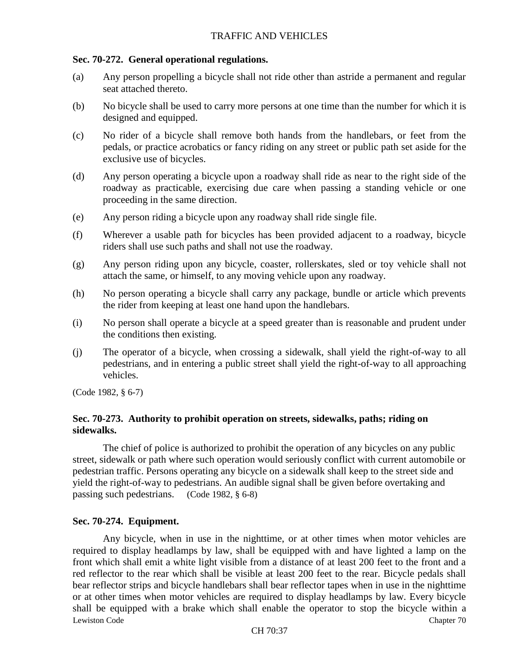### **Sec. 70-272. General operational regulations.**

- (a) Any person propelling a bicycle shall not ride other than astride a permanent and regular seat attached thereto.
- (b) No bicycle shall be used to carry more persons at one time than the number for which it is designed and equipped.
- (c) No rider of a bicycle shall remove both hands from the handlebars, or feet from the pedals, or practice acrobatics or fancy riding on any street or public path set aside for the exclusive use of bicycles.
- (d) Any person operating a bicycle upon a roadway shall ride as near to the right side of the roadway as practicable, exercising due care when passing a standing vehicle or one proceeding in the same direction.
- (e) Any person riding a bicycle upon any roadway shall ride single file.
- (f) Wherever a usable path for bicycles has been provided adjacent to a roadway, bicycle riders shall use such paths and shall not use the roadway.
- (g) Any person riding upon any bicycle, coaster, rollerskates, sled or toy vehicle shall not attach the same, or himself, to any moving vehicle upon any roadway.
- (h) No person operating a bicycle shall carry any package, bundle or article which prevents the rider from keeping at least one hand upon the handlebars.
- (i) No person shall operate a bicycle at a speed greater than is reasonable and prudent under the conditions then existing.
- (j) The operator of a bicycle, when crossing a sidewalk, shall yield the right-of-way to all pedestrians, and in entering a public street shall yield the right-of-way to all approaching vehicles.

(Code 1982, § 6-7)

# **Sec. 70-273. Authority to prohibit operation on streets, sidewalks, paths; riding on sidewalks.**

The chief of police is authorized to prohibit the operation of any bicycles on any public street, sidewalk or path where such operation would seriously conflict with current automobile or pedestrian traffic. Persons operating any bicycle on a sidewalk shall keep to the street side and yield the right-of-way to pedestrians. An audible signal shall be given before overtaking and passing such pedestrians. (Code 1982, § 6-8)

## **Sec. 70-274. Equipment.**

Lewiston Code Chapter 70 Any bicycle, when in use in the nighttime, or at other times when motor vehicles are required to display headlamps by law, shall be equipped with and have lighted a lamp on the front which shall emit a white light visible from a distance of at least 200 feet to the front and a red reflector to the rear which shall be visible at least 200 feet to the rear. Bicycle pedals shall bear reflector strips and bicycle handlebars shall bear reflector tapes when in use in the nighttime or at other times when motor vehicles are required to display headlamps by law. Every bicycle shall be equipped with a brake which shall enable the operator to stop the bicycle within a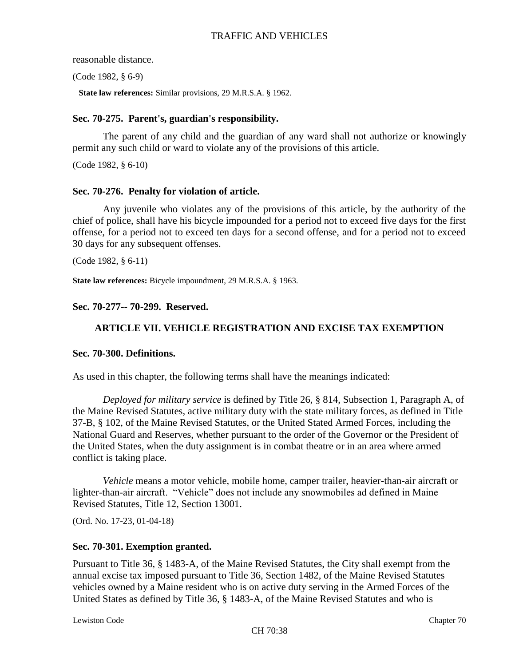reasonable distance.

(Code 1982, § 6-9)

**State law references:** Similar provisions, 29 M.R.S.A. § 1962.

## **Sec. 70-275. Parent's, guardian's responsibility.**

The parent of any child and the guardian of any ward shall not authorize or knowingly permit any such child or ward to violate any of the provisions of this article.

(Code 1982, § 6-10)

## **Sec. 70-276. Penalty for violation of article.**

Any juvenile who violates any of the provisions of this article, by the authority of the chief of police, shall have his bicycle impounded for a period not to exceed five days for the first offense, for a period not to exceed ten days for a second offense, and for a period not to exceed 30 days for any subsequent offenses.

(Code 1982, § 6-11)

**State law references:** Bicycle impoundment, 29 M.R.S.A. § 1963.

**Sec. 70-277-- 70-299. Reserved.**

# **ARTICLE VII. VEHICLE REGISTRATION AND EXCISE TAX EXEMPTION**

## **Sec. 70-300. Definitions.**

As used in this chapter, the following terms shall have the meanings indicated:

*Deployed for military service* is defined by Title 26, § 814, Subsection 1, Paragraph A, of the Maine Revised Statutes, active military duty with the state military forces, as defined in Title 37-B, § 102, of the Maine Revised Statutes, or the United Stated Armed Forces, including the National Guard and Reserves, whether pursuant to the order of the Governor or the President of the United States, when the duty assignment is in combat theatre or in an area where armed conflict is taking place.

*Vehicle* means a motor vehicle, mobile home, camper trailer, heavier-than-air aircraft or lighter-than-air aircraft. "Vehicle" does not include any snowmobiles ad defined in Maine Revised Statutes, Title 12, Section 13001.

(Ord. No. 17-23, 01-04-18)

## **Sec. 70-301. Exemption granted.**

Pursuant to Title 36, § 1483-A, of the Maine Revised Statutes, the City shall exempt from the annual excise tax imposed pursuant to Title 36, Section 1482, of the Maine Revised Statutes vehicles owned by a Maine resident who is on active duty serving in the Armed Forces of the United States as defined by Title 36, § 1483-A, of the Maine Revised Statutes and who is